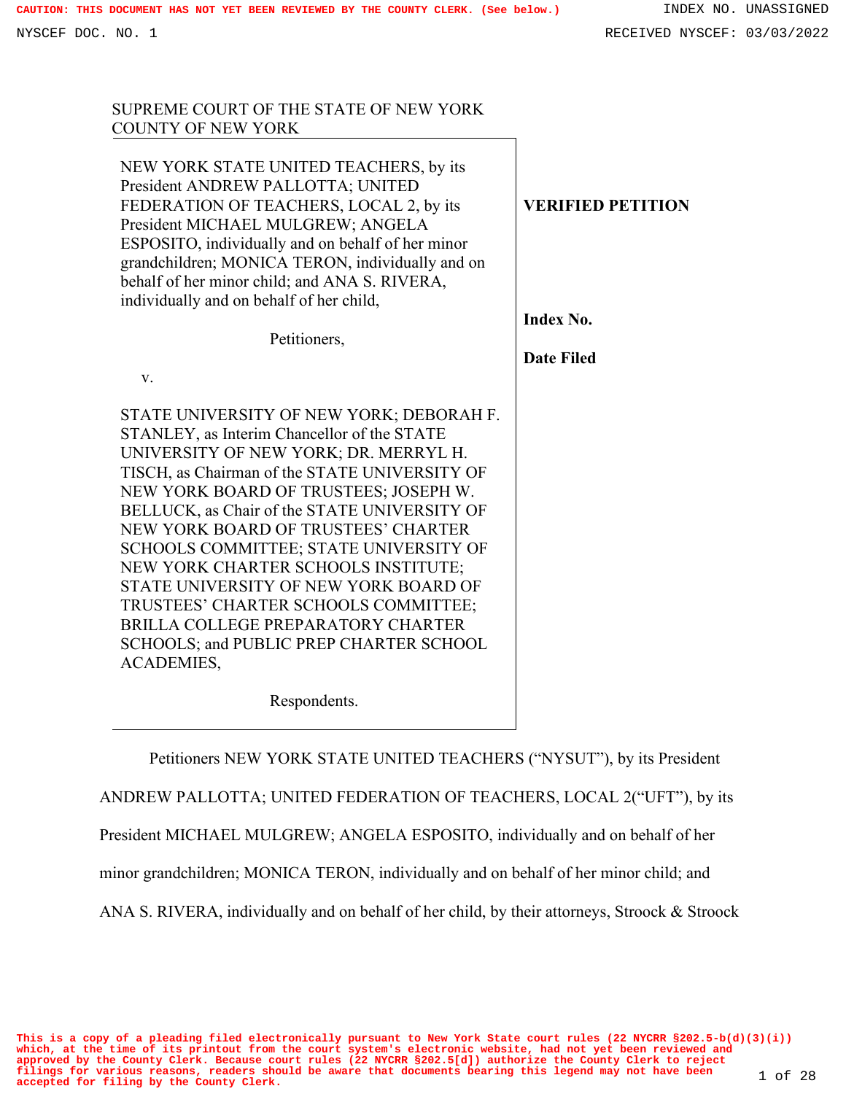SUPREME COURT OF THE STATE OF NEW YORK

| <b>COUNTY OF NEW YORK</b>                                                                                                                                                                                                                                                                                                                                                                                                                                                                                                                                                                                 |                          |
|-----------------------------------------------------------------------------------------------------------------------------------------------------------------------------------------------------------------------------------------------------------------------------------------------------------------------------------------------------------------------------------------------------------------------------------------------------------------------------------------------------------------------------------------------------------------------------------------------------------|--------------------------|
| NEW YORK STATE UNITED TEACHERS, by its<br>President ANDREW PALLOTTA; UNITED<br>FEDERATION OF TEACHERS, LOCAL 2, by its<br>President MICHAEL MULGREW; ANGELA<br>ESPOSITO, individually and on behalf of her minor<br>grandchildren; MONICA TERON, individually and on<br>behalf of her minor child; and ANA S. RIVERA,<br>individually and on behalf of her child,                                                                                                                                                                                                                                         | <b>VERIFIED PETITION</b> |
|                                                                                                                                                                                                                                                                                                                                                                                                                                                                                                                                                                                                           | <b>Index No.</b>         |
| Petitioners,                                                                                                                                                                                                                                                                                                                                                                                                                                                                                                                                                                                              |                          |
|                                                                                                                                                                                                                                                                                                                                                                                                                                                                                                                                                                                                           | <b>Date Filed</b>        |
| V.                                                                                                                                                                                                                                                                                                                                                                                                                                                                                                                                                                                                        |                          |
| STATE UNIVERSITY OF NEW YORK; DEBORAH F.<br>STANLEY, as Interim Chancellor of the STATE<br>UNIVERSITY OF NEW YORK; DR. MERRYL H.<br>TISCH, as Chairman of the STATE UNIVERSITY OF<br>NEW YORK BOARD OF TRUSTEES; JOSEPH W.<br>BELLUCK, as Chair of the STATE UNIVERSITY OF<br>NEW YORK BOARD OF TRUSTEES' CHARTER<br>SCHOOLS COMMITTEE; STATE UNIVERSITY OF<br>NEW YORK CHARTER SCHOOLS INSTITUTE;<br>STATE UNIVERSITY OF NEW YORK BOARD OF<br>TRUSTEES' CHARTER SCHOOLS COMMITTEE;<br>BRILLA COLLEGE PREPARATORY CHARTER<br>SCHOOLS; and PUBLIC PREP CHARTER SCHOOL<br><b>ACADEMIES,</b><br>Respondents. |                          |

Petitioners NEW YORK STATE UNITED TEACHERS ("NYSUT"), by its President

ANDREW PALLOTTA; UNITED FEDERATION OF TEACHERS, LOCAL 2("UFT"), by its

President MICHAEL MULGREW; ANGELA ESPOSITO, individually and on behalf of her

minor grandchildren; MONICA TERON, individually and on behalf of her minor child; and

ANA S. RIVERA, individually and on behalf of her child, by their attorneys, Stroock & Stroock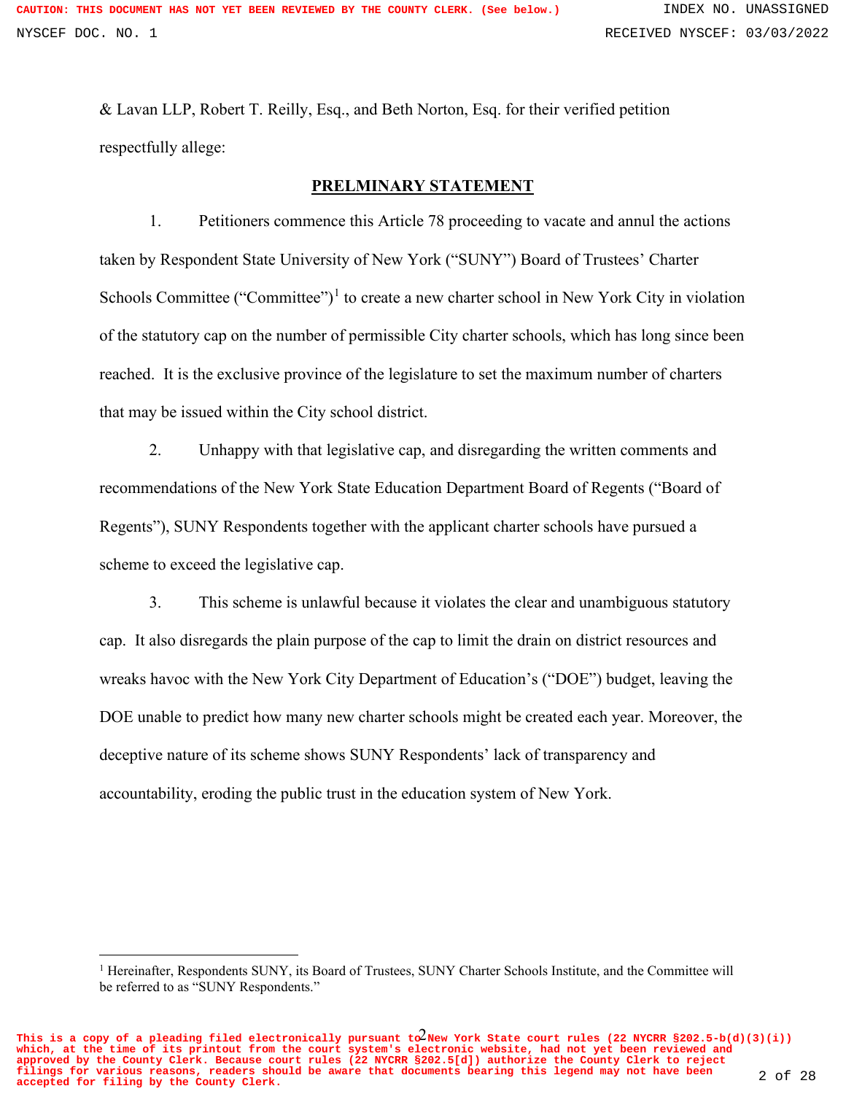& Lavan LLP, Robert T. Reilly, Esq., and Beth Norton, Esq. for their verified petition respectfully allege:

## **PRELMINARY STATEMENT**

1. Petitioners commence this Article 78 proceeding to vacate and annul the actions taken by Respondent State University of New York ("SUNY") Board of Trustees' Charter Schools Committee ("Committee")<sup>1</sup> to create a new charter school in New York City in violation of the statutory cap on the number of permissible City charter schools, which has long since been reached. It is the exclusive province of the legislature to set the maximum number of charters that may be issued within the City school district.

2. Unhappy with that legislative cap, and disregarding the written comments and recommendations of the New York State Education Department Board of Regents ("Board of Regents"), SUNY Respondents together with the applicant charter schools have pursued a scheme to exceed the legislative cap.

3. This scheme is unlawful because it violates the clear and unambiguous statutory cap. It also disregards the plain purpose of the cap to limit the drain on district resources and wreaks havoc with the New York City Department of Education's ("DOE") budget, leaving the DOE unable to predict how many new charter schools might be created each year. Moreover, the deceptive nature of its scheme shows SUNY Respondents' lack of transparency and accountability, eroding the public trust in the education system of New York.

This is a copy of a pleading filed electronically pursuant  $t\alpha^2$ New York State court rules (22 NYCRR §202.5-b(d)(3)(i)) **which, at the time of its printout from the court system's electronic website, had not yet been reviewed and approved by the County Clerk. Because court rules (22 NYCRR §202.5[d]) authorize the County Clerk to reject filings for various reasons, readers should be aware that documents bearing this legend may not have been accepted for filing by the County Clerk.** 2 of 28

<sup>&</sup>lt;sup>1</sup> Hereinafter, Respondents SUNY, its Board of Trustees, SUNY Charter Schools Institute, and the Committee will be referred to as "SUNY Respondents."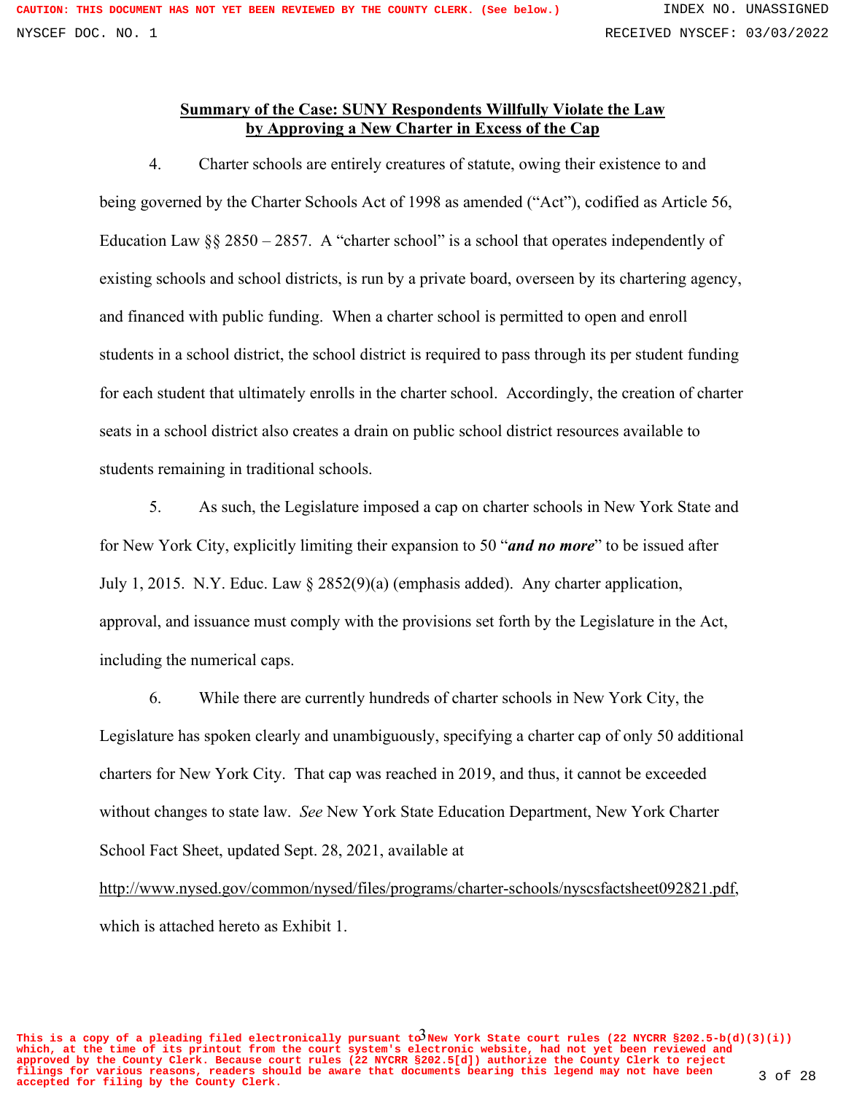## **Summary of the Case: SUNY Respondents Willfully Violate the Law by Approving a New Charter in Excess of the Cap**

4. Charter schools are entirely creatures of statute, owing their existence to and being governed by the Charter Schools Act of 1998 as amended ("Act"), codified as Article 56, Education Law  $\S$  2850 – 2857. A "charter school" is a school that operates independently of existing schools and school districts, is run by a private board, overseen by its chartering agency, and financed with public funding. When a charter school is permitted to open and enroll students in a school district, the school district is required to pass through its per student funding for each student that ultimately enrolls in the charter school. Accordingly, the creation of charter seats in a school district also creates a drain on public school district resources available to students remaining in traditional schools.

5. As such, the Legislature imposed a cap on charter schools in New York State and for New York City, explicitly limiting their expansion to 50 "*and no more*" to be issued after July 1, 2015. N.Y. Educ. Law § 2852(9)(a) (emphasis added). Any charter application, approval, and issuance must comply with the provisions set forth by the Legislature in the Act, including the numerical caps.

6. While there are currently hundreds of charter schools in New York City, the Legislature has spoken clearly and unambiguously, specifying a charter cap of only 50 additional charters for New York City. That cap was reached in 2019, and thus, it cannot be exceeded without changes to state law. *See* New York State Education Department, New York Charter School Fact Sheet, updated Sept. 28, 2021, available at

http://www.nysed.gov/common/nysed/files/programs/charter-schools/nyscsfactsheet092821.pdf, which is attached hereto as Exhibit 1.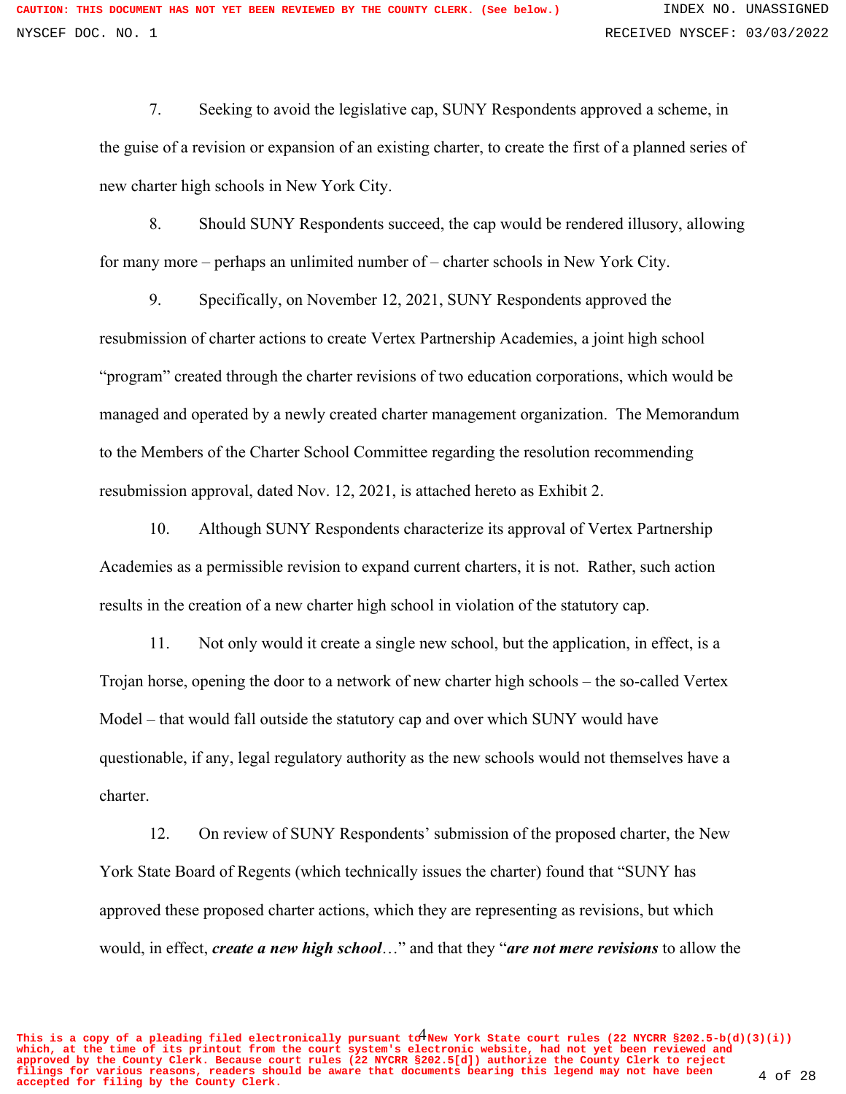7. Seeking to avoid the legislative cap, SUNY Respondents approved a scheme, in the guise of a revision or expansion of an existing charter, to create the first of a planned series of new charter high schools in New York City.

8. Should SUNY Respondents succeed, the cap would be rendered illusory, allowing for many more – perhaps an unlimited number of – charter schools in New York City.

9. Specifically, on November 12, 2021, SUNY Respondents approved the resubmission of charter actions to create Vertex Partnership Academies, a joint high school "program" created through the charter revisions of two education corporations, which would be managed and operated by a newly created charter management organization. The Memorandum to the Members of the Charter School Committee regarding the resolution recommending resubmission approval, dated Nov. 12, 2021, is attached hereto as Exhibit 2.

10. Although SUNY Respondents characterize its approval of Vertex Partnership Academies as a permissible revision to expand current charters, it is not. Rather, such action results in the creation of a new charter high school in violation of the statutory cap.

11. Not only would it create a single new school, but the application, in effect, is a Trojan horse, opening the door to a network of new charter high schools – the so-called Vertex Model – that would fall outside the statutory cap and over which SUNY would have questionable, if any, legal regulatory authority as the new schools would not themselves have a charter.

12. On review of SUNY Respondents' submission of the proposed charter, the New York State Board of Regents (which technically issues the charter) found that "SUNY has approved these proposed charter actions, which they are representing as revisions, but which would, in effect, *create a new high school*…" and that they "*are not mere revisions* to allow the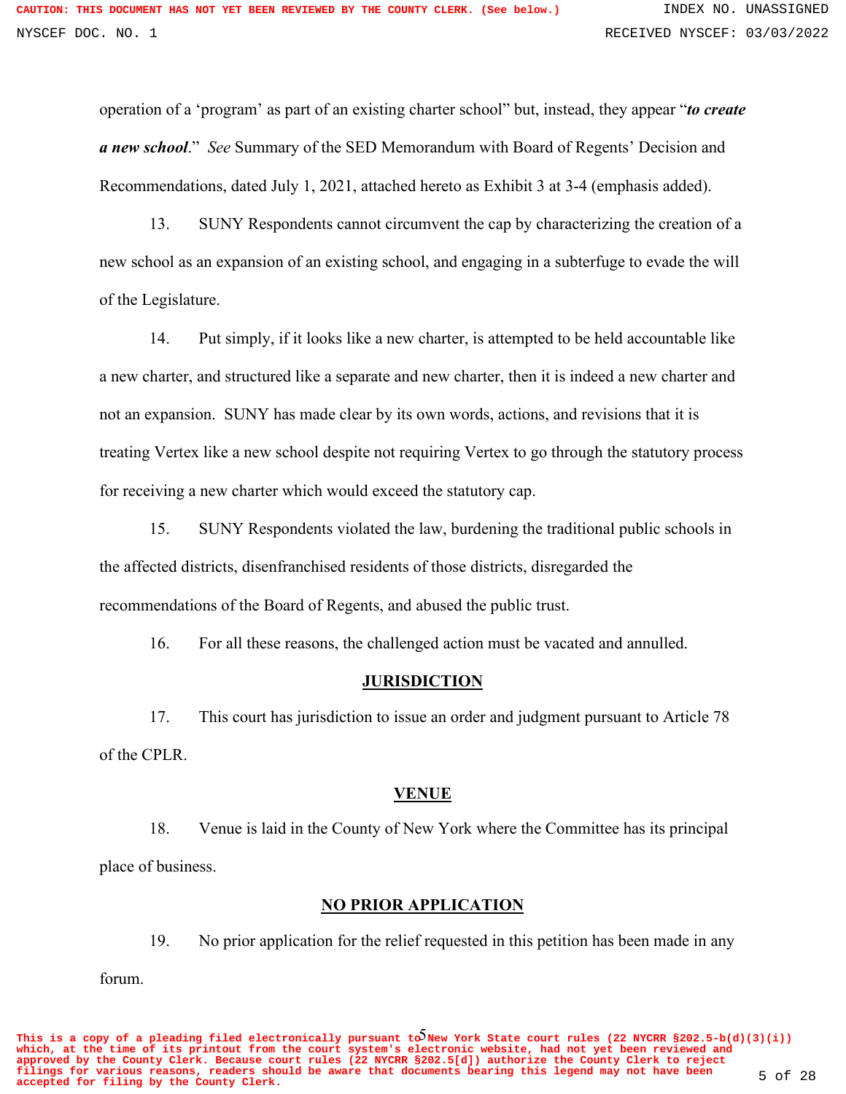operation of a 'program' as part of an existing charter school" but, instead, they appear "*to create a new school*." *See* Summary of the SED Memorandum with Board of Regents' Decision and Recommendations, dated July 1, 2021, attached hereto as Exhibit 3 at 3-4 (emphasis added).

13. SUNY Respondents cannot circumvent the cap by characterizing the creation of a new school as an expansion of an existing school, and engaging in a subterfuge to evade the will of the Legislature.

14. Put simply, if it looks like a new charter, is attempted to be held accountable like a new charter, and structured like a separate and new charter, then it is indeed a new charter and not an expansion. SUNY has made clear by its own words, actions, and revisions that it is treating Vertex like a new school despite not requiring Vertex to go through the statutory process for receiving a new charter which would exceed the statutory cap.

15. SUNY Respondents violated the law, burdening the traditional public schools in the affected districts, disenfranchised residents of those districts, disregarded the recommendations of the Board of Regents, and abused the public trust.

16. For all these reasons, the challenged action must be vacated and annulled.

### **JURISDICTION**

17. This court has jurisdiction to issue an order and judgment pursuant to Article 78 of the CPLR.

### **VENUE**

18. Venue is laid in the County of New York where the Committee has its principal place of business.

## **NO PRIOR APPLICATION**

19. No prior application for the relief requested in this petition has been made in any

forum.

This is a copy of a pleading filed electronically pursuant  $t\tilde{\mathcal{O}}$ New York State court rules (22 NYCRR §202.5-b(d)(3)(i)) **which, at the time of its printout from the court system's electronic website, had not yet been reviewed and approved by the County Clerk. Because court rules (22 NYCRR §202.5[d]) authorize the County Clerk to reject filings for various reasons, readers should be aware that documents bearing this legend may not have been accepted for filing by the County Clerk.** 5 of 28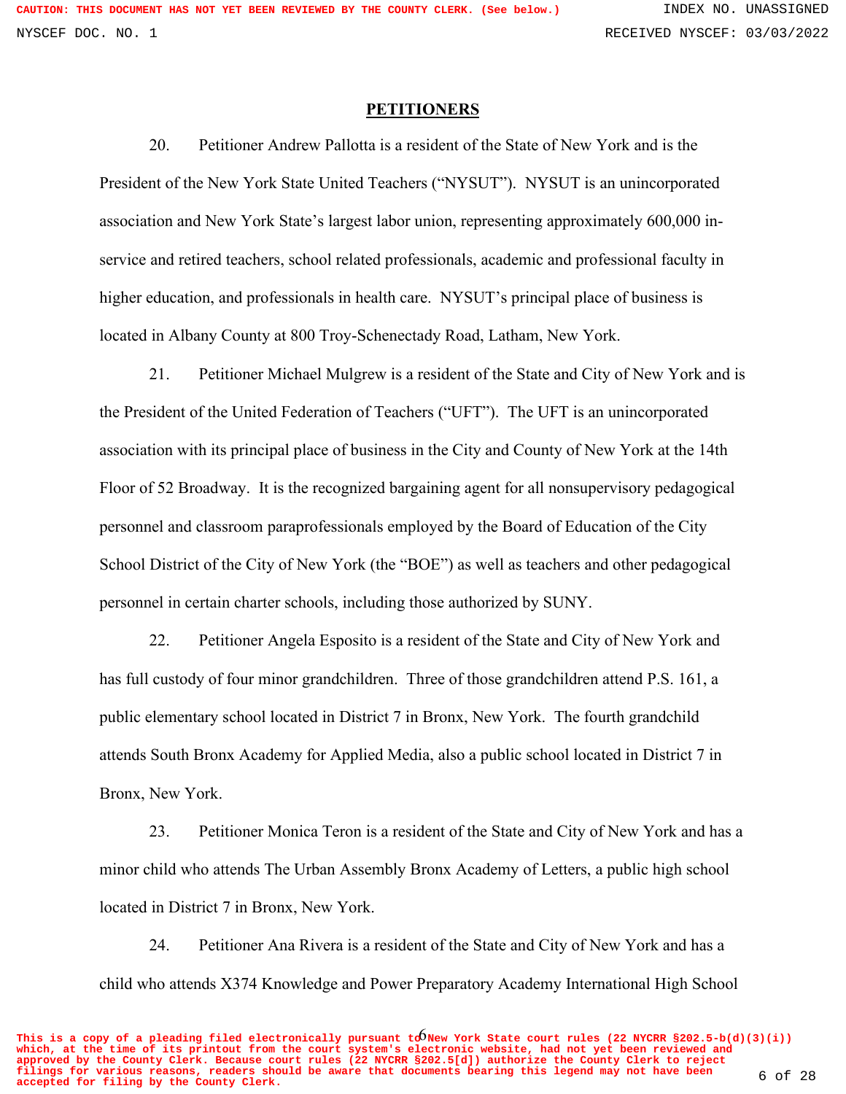#### **PETITIONERS**

20. Petitioner Andrew Pallotta is a resident of the State of New York and is the President of the New York State United Teachers ("NYSUT"). NYSUT is an unincorporated association and New York State's largest labor union, representing approximately 600,000 inservice and retired teachers, school related professionals, academic and professional faculty in higher education, and professionals in health care. NYSUT's principal place of business is located in Albany County at 800 Troy-Schenectady Road, Latham, New York.

21. Petitioner Michael Mulgrew is a resident of the State and City of New York and is the President of the United Federation of Teachers ("UFT"). The UFT is an unincorporated association with its principal place of business in the City and County of New York at the 14th Floor of 52 Broadway. It is the recognized bargaining agent for all nonsupervisory pedagogical personnel and classroom paraprofessionals employed by the Board of Education of the City School District of the City of New York (the "BOE") as well as teachers and other pedagogical personnel in certain charter schools, including those authorized by SUNY.

22. Petitioner Angela Esposito is a resident of the State and City of New York and has full custody of four minor grandchildren. Three of those grandchildren attend P.S. 161, a public elementary school located in District 7 in Bronx, New York. The fourth grandchild attends South Bronx Academy for Applied Media, also a public school located in District 7 in Bronx, New York.

23. Petitioner Monica Teron is a resident of the State and City of New York and has a minor child who attends The Urban Assembly Bronx Academy of Letters, a public high school located in District 7 in Bronx, New York.

24. Petitioner Ana Rivera is a resident of the State and City of New York and has a child who attends X374 Knowledge and Power Preparatory Academy International High School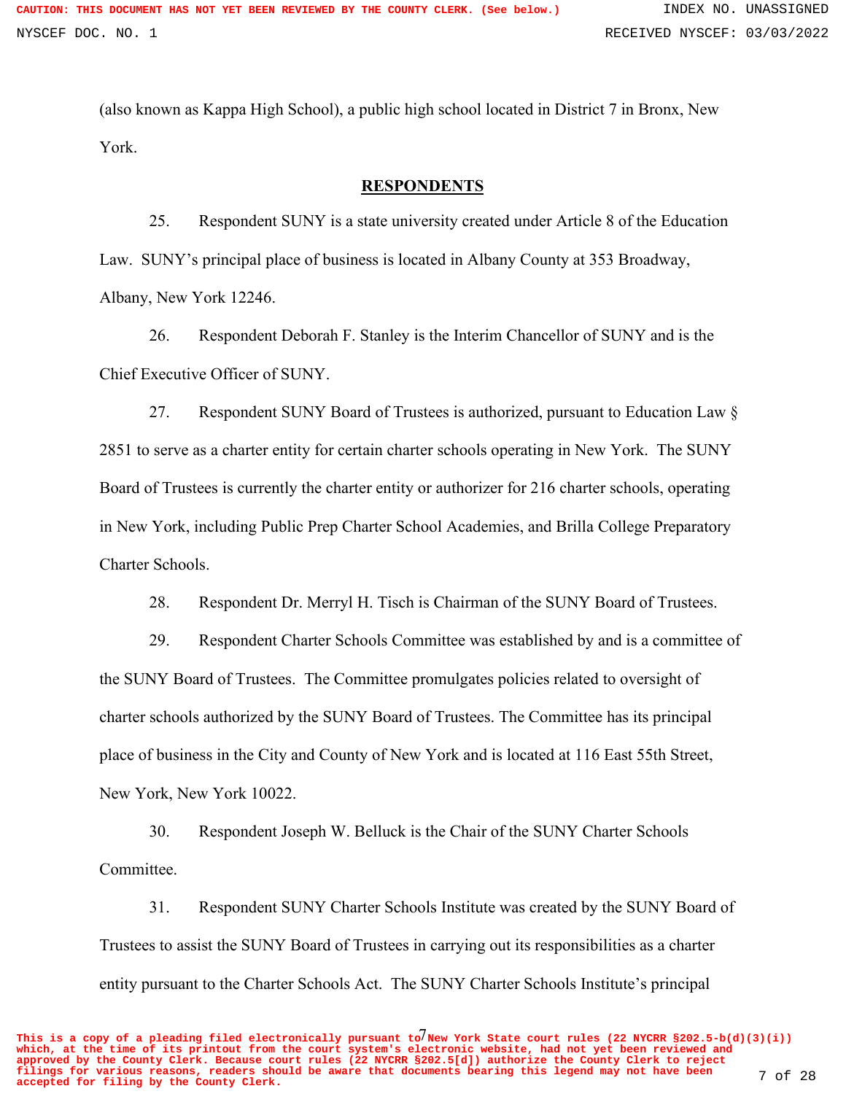(also known as Kappa High School), a public high school located in District 7 in Bronx, New York.

### **RESPONDENTS**

25. Respondent SUNY is a state university created under Article 8 of the Education Law. SUNY's principal place of business is located in Albany County at 353 Broadway, Albany, New York 12246.

26. Respondent Deborah F. Stanley is the Interim Chancellor of SUNY and is the Chief Executive Officer of SUNY.

27. Respondent SUNY Board of Trustees is authorized, pursuant to Education Law § 2851 to serve as a charter entity for certain charter schools operating in New York. The SUNY Board of Trustees is currently the charter entity or authorizer for 216 charter schools, operating in New York, including Public Prep Charter School Academies, and Brilla College Preparatory Charter Schools.

28. Respondent Dr. Merryl H. Tisch is Chairman of the SUNY Board of Trustees.

29. Respondent Charter Schools Committee was established by and is a committee of the SUNY Board of Trustees. The Committee promulgates policies related to oversight of charter schools authorized by the SUNY Board of Trustees. The Committee has its principal place of business in the City and County of New York and is located at 116 East 55th Street, New York, New York 10022.

30. Respondent Joseph W. Belluck is the Chair of the SUNY Charter Schools Committee.

31. Respondent SUNY Charter Schools Institute was created by the SUNY Board of Trustees to assist the SUNY Board of Trustees in carrying out its responsibilities as a charter entity pursuant to the Charter Schools Act. The SUNY Charter Schools Institute's principal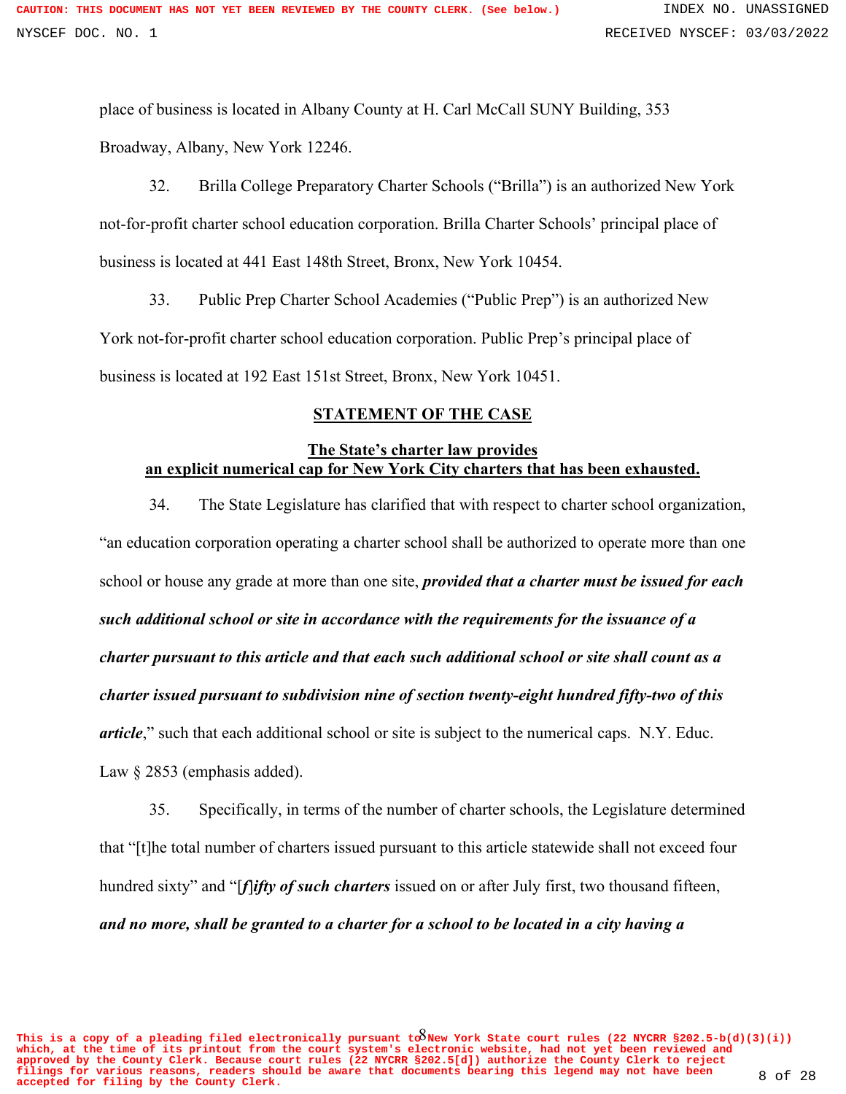place of business is located in Albany County at H. Carl McCall SUNY Building, 353 Broadway, Albany, New York 12246.

32. Brilla College Preparatory Charter Schools ("Brilla") is an authorized New York not-for-profit charter school education corporation. Brilla Charter Schools' principal place of business is located at 441 East 148th Street, Bronx, New York 10454.

33. Public Prep Charter School Academies ("Public Prep") is an authorized New York not-for-profit charter school education corporation. Public Prep's principal place of business is located at 192 East 151st Street, Bronx, New York 10451.

# **STATEMENT OF THE CASE**

## **The State's charter law provides an explicit numerical cap for New York City charters that has been exhausted.**

34. The State Legislature has clarified that with respect to charter school organization, "an education corporation operating a charter school shall be authorized to operate more than one school or house any grade at more than one site, *provided that a charter must be issued for each such additional school or site in accordance with the requirements for the issuance of a charter pursuant to this article and that each such additional school or site shall count as a charter issued pursuant to subdivision nine of section twenty-eight hundred fifty-two of this article*," such that each additional school or site is subject to the numerical caps. N.Y. Educ. Law  $\S 2853$  (emphasis added).

35. Specifically, in terms of the number of charter schools, the Legislature determined that "[t]he total number of charters issued pursuant to this article statewide shall not exceed four hundred sixty" and "[*f*]*ifty of such charters* issued on or after July first, two thousand fifteen, *and no more, shall be granted to a charter for a school to be located in a city having a*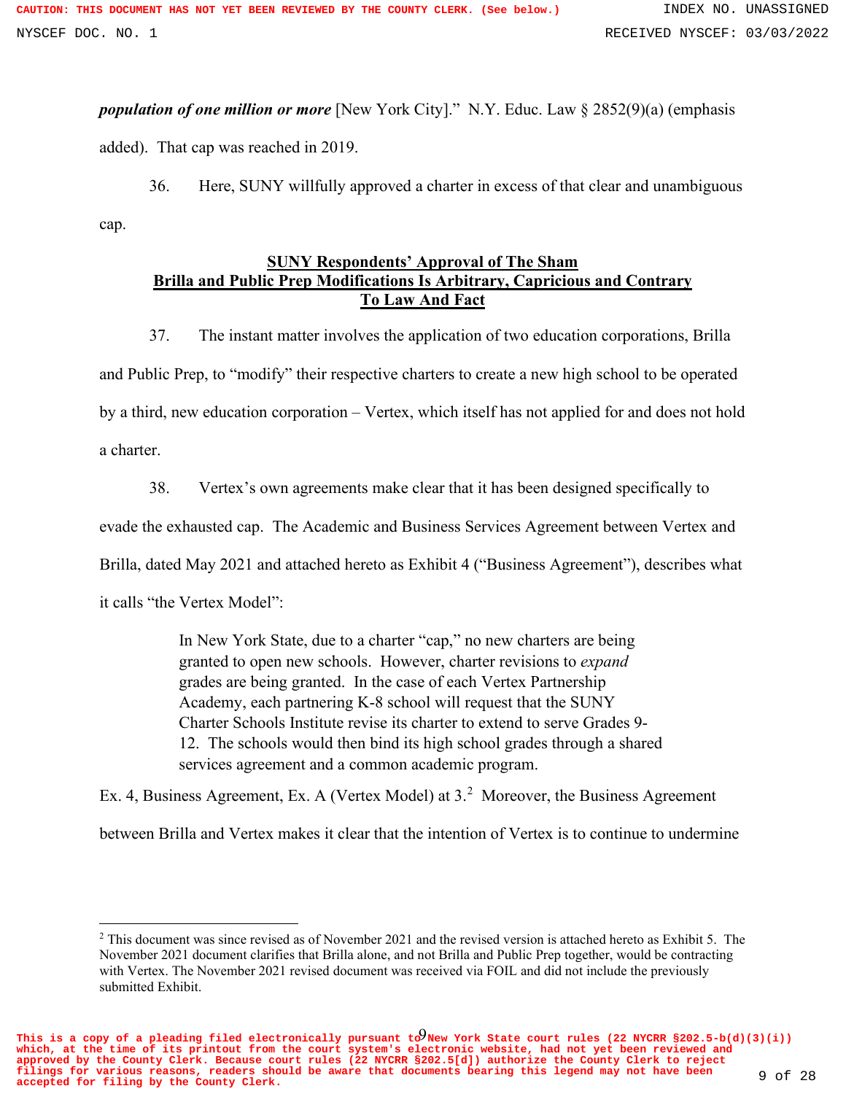*population of one million or more* [New York City]." N.Y. Educ. Law § 2852(9)(a) (emphasis added). That cap was reached in 2019.

36. Here, SUNY willfully approved a charter in excess of that clear and unambiguous cap.

# **SUNY Respondents' Approval of The Sham Brilla and Public Prep Modifications Is Arbitrary, Capricious and Contrary To Law And Fact**

37. The instant matter involves the application of two education corporations, Brilla and Public Prep, to "modify" their respective charters to create a new high school to be operated by a third, new education corporation – Vertex, which itself has not applied for and does not hold a charter.

38. Vertex's own agreements make clear that it has been designed specifically to

evade the exhausted cap. The Academic and Business Services Agreement between Vertex and

Brilla, dated May 2021 and attached hereto as Exhibit 4 ("Business Agreement"), describes what

it calls "the Vertex Model":

In New York State, due to a charter "cap," no new charters are being granted to open new schools. However, charter revisions to *expand* grades are being granted. In the case of each Vertex Partnership Academy, each partnering K-8 school will request that the SUNY Charter Schools Institute revise its charter to extend to serve Grades 9- 12. The schools would then bind its high school grades through a shared services agreement and a common academic program.

Ex. 4, Business Agreement, Ex. A (Vertex Model) at  $3<sup>2</sup>$  Moreover, the Business Agreement

between Brilla and Vertex makes it clear that the intention of Vertex is to continue to undermine

This is a copy of a pleading filed electronically pursuant  $\mathrm{t}\partial_\text{New}$  York State court rules (22 NYCRR §202.5-b(d)(3)(i)) **which, at the time of its printout from the court system's electronic website, had not yet been reviewed and approved by the County Clerk. Because court rules (22 NYCRR §202.5[d]) authorize the County Clerk to reject filings for various reasons, readers should be aware that documents bearing this legend may not have been accepted for filing by the County Clerk.** 9 of 28

<sup>&</sup>lt;sup>2</sup> This document was since revised as of November 2021 and the revised version is attached hereto as Exhibit 5. The November 2021 document clarifies that Brilla alone, and not Brilla and Public Prep together, would be contracting with Vertex. The November 2021 revised document was received via FOIL and did not include the previously submitted Exhibit.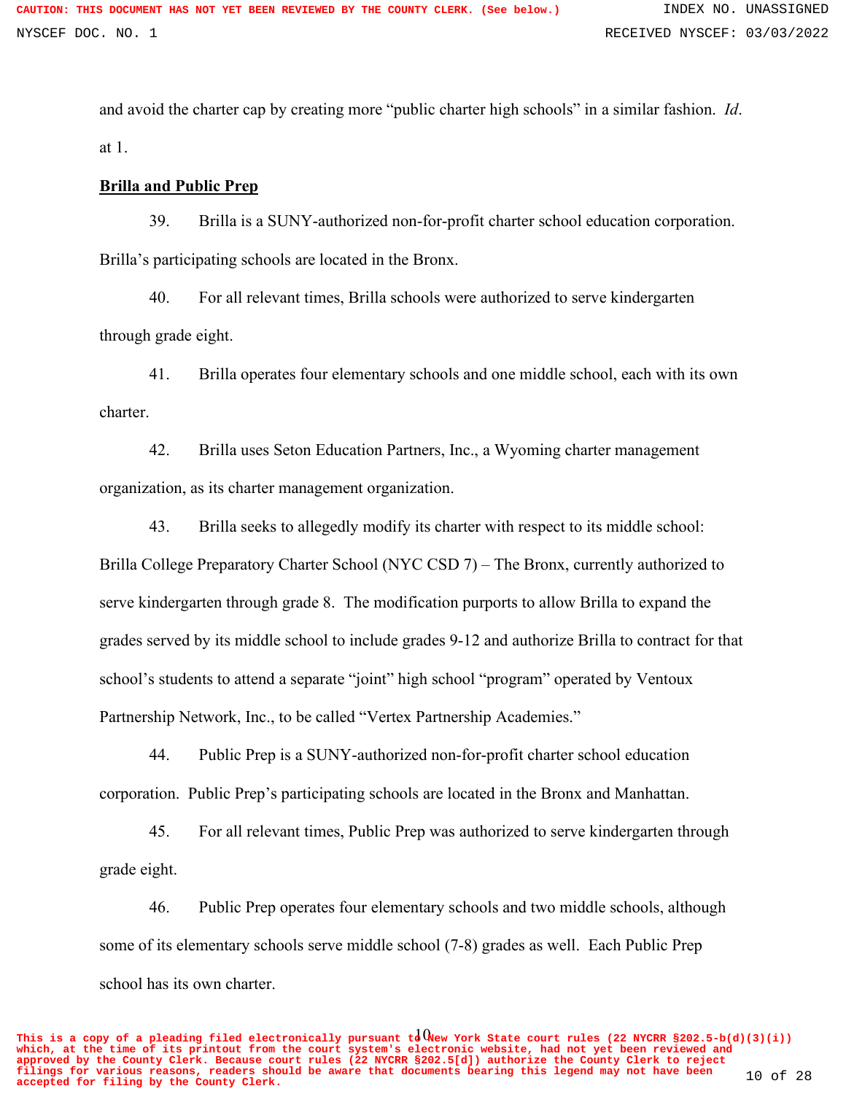and avoid the charter cap by creating more "public charter high schools" in a similar fashion. *Id*. at 1.

## **Brilla and Public Prep**

39. Brilla is a SUNY-authorized non-for-profit charter school education corporation. Brilla's participating schools are located in the Bronx.

40. For all relevant times, Brilla schools were authorized to serve kindergarten through grade eight.

41. Brilla operates four elementary schools and one middle school, each with its own charter.

42. Brilla uses Seton Education Partners, Inc., a Wyoming charter management organization, as its charter management organization.

43. Brilla seeks to allegedly modify its charter with respect to its middle school: Brilla College Preparatory Charter School (NYC CSD 7) – The Bronx, currently authorized to serve kindergarten through grade 8. The modification purports to allow Brilla to expand the grades served by its middle school to include grades 9-12 and authorize Brilla to contract for that school's students to attend a separate "joint" high school "program" operated by Ventoux Partnership Network, Inc., to be called "Vertex Partnership Academies."

44. Public Prep is a SUNY-authorized non-for-profit charter school education corporation. Public Prep's participating schools are located in the Bronx and Manhattan.

45. For all relevant times, Public Prep was authorized to serve kindergarten through grade eight.

46. Public Prep operates four elementary schools and two middle schools, although some of its elementary schools serve middle school (7-8) grades as well. Each Public Prep school has its own charter.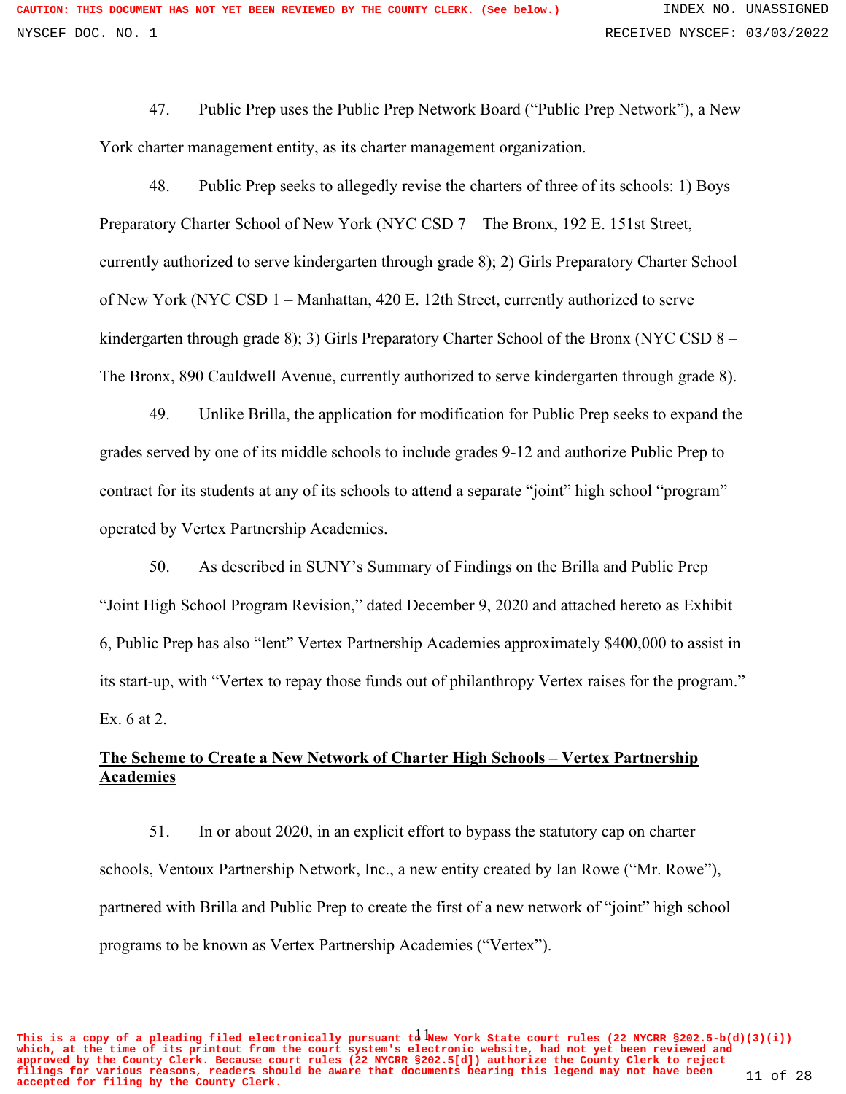47. Public Prep uses the Public Prep Network Board ("Public Prep Network"), a New York charter management entity, as its charter management organization.

48. Public Prep seeks to allegedly revise the charters of three of its schools: 1) Boys Preparatory Charter School of New York (NYC CSD 7 – The Bronx, 192 E. 151st Street, currently authorized to serve kindergarten through grade 8); 2) Girls Preparatory Charter School of New York (NYC CSD 1 – Manhattan, 420 E. 12th Street, currently authorized to serve kindergarten through grade 8); 3) Girls Preparatory Charter School of the Bronx (NYC CSD 8 – The Bronx, 890 Cauldwell Avenue, currently authorized to serve kindergarten through grade 8).

49. Unlike Brilla, the application for modification for Public Prep seeks to expand the grades served by one of its middle schools to include grades 9-12 and authorize Public Prep to contract for its students at any of its schools to attend a separate "joint" high school "program" operated by Vertex Partnership Academies.

50. As described in SUNY's Summary of Findings on the Brilla and Public Prep "Joint High School Program Revision," dated December 9, 2020 and attached hereto as Exhibit 6, Public Prep has also "lent" Vertex Partnership Academies approximately \$400,000 to assist in its start-up, with "Vertex to repay those funds out of philanthropy Vertex raises for the program." Ex. 6 at 2.

# **The Scheme to Create a New Network of Charter High Schools – Vertex Partnership Academies**

51. In or about 2020, in an explicit effort to bypass the statutory cap on charter schools, Ventoux Partnership Network, Inc., a new entity created by Ian Rowe ("Mr. Rowe"), partnered with Brilla and Public Prep to create the first of a new network of "joint" high school programs to be known as Vertex Partnership Academies ("Vertex").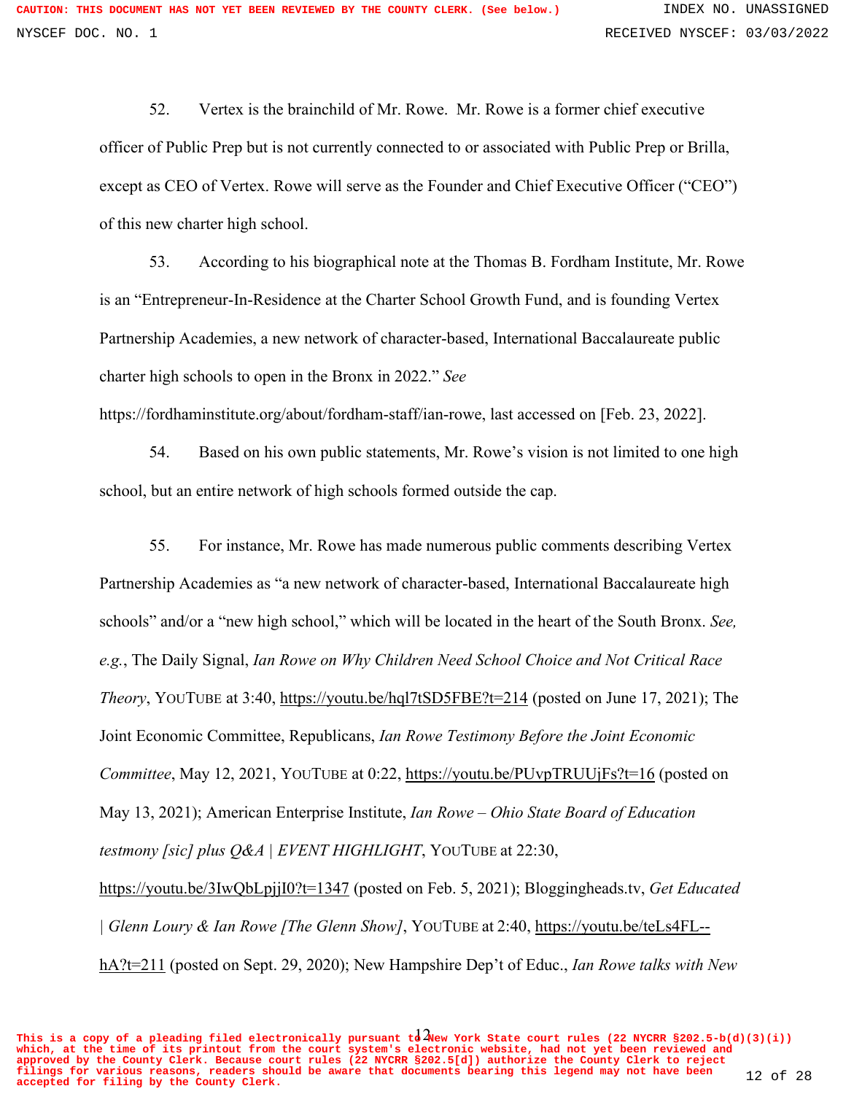52. Vertex is the brainchild of Mr. Rowe. Mr. Rowe is a former chief executive officer of Public Prep but is not currently connected to or associated with Public Prep or Brilla, except as CEO of Vertex. Rowe will serve as the Founder and Chief Executive Officer ("CEO") of this new charter high school.

53. According to his biographical note at the Thomas B. Fordham Institute, Mr. Rowe is an "Entrepreneur-In-Residence at the Charter School Growth Fund, and is founding Vertex Partnership Academies, a new network of character-based, International Baccalaureate public charter high schools to open in the Bronx in 2022." *See*

https://fordhaminstitute.org/about/fordham-staff/ian-rowe, last accessed on [Feb. 23, 2022].

54. Based on his own public statements, Mr. Rowe's vision is not limited to one high school, but an entire network of high schools formed outside the cap.

55. For instance, Mr. Rowe has made numerous public comments describing Vertex Partnership Academies as "a new network of character-based, International Baccalaureate high schools" and/or a "new high school," which will be located in the heart of the South Bronx. *See, e.g.*, The Daily Signal, *Ian Rowe on Why Children Need School Choice and Not Critical Race Theory*, YOUTUBE at 3:40, https://youtu.be/hql7tSD5FBE?t=214 (posted on June 17, 2021); The Joint Economic Committee, Republicans, *Ian Rowe Testimony Before the Joint Economic Committee*, May 12, 2021, YOUTUBE at 0:22, https://youtu.be/PUvpTRUUjFs?t=16 (posted on May 13, 2021); American Enterprise Institute, *Ian Rowe – Ohio State Board of Education testmony [sic] plus Q&A | EVENT HIGHLIGHT*, YOUTUBE at 22:30,

https://youtu.be/3IwQbLpjjI0?t=1347 (posted on Feb. 5, 2021); Bloggingheads.tv, *Get Educated | Glenn Loury & Ian Rowe [The Glenn Show]*, YOUTUBE at 2:40, https://youtu.be/teLs4FL- hA?t=211 (posted on Sept. 29, 2020); New Hampshire Dep't of Educ., *Ian Rowe talks with New* 

This is a copy of a pleading filed electronically pursuant  $\mathrm{t\dot{a}}$   $\lambda$ Wew York State court rules (22 NYCRR §202.5-b(d)(3)(i)) **which, at the time of its printout from the court system's electronic website, had not yet been reviewed and approved by the County Clerk. Because court rules (22 NYCRR §202.5[d]) authorize the County Clerk to reject filings for various reasons, readers should be aware that documents bearing this legend may not have been accepted for filing by the County Clerk.** 12 of 28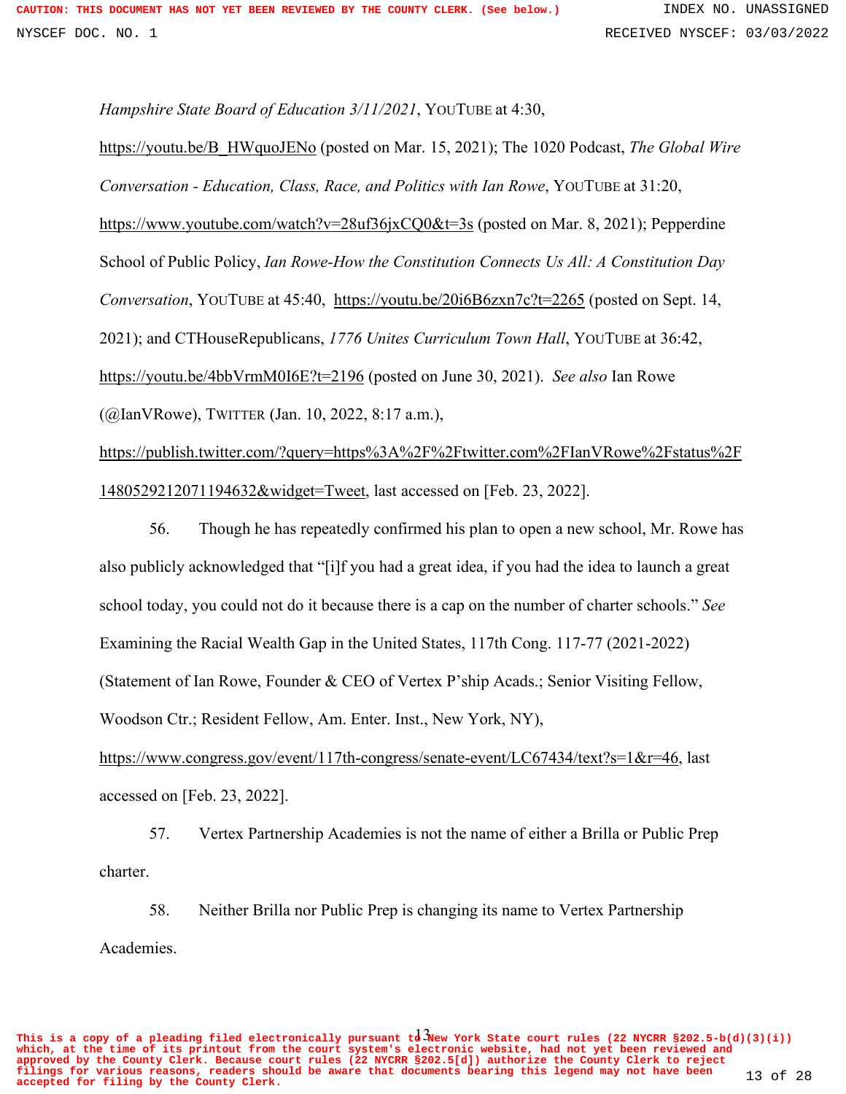*Hampshire State Board of Education 3/11/2021*, YOUTUBE at 4:30,

https://youtu.be/B\_HWquoJENo (posted on Mar. 15, 2021); The 1020 Podcast, *The Global Wire Conversation - Education, Class, Race, and Politics with Ian Rowe*, YOUTUBE at 31:20, https://www.youtube.com/watch?v=28uf36jxCQ0&t=3s (posted on Mar. 8, 2021); Pepperdine School of Public Policy, *Ian Rowe-How the Constitution Connects Us All: A Constitution Day Conversation*, YOUTUBE at 45:40, https://youtu.be/20i6B6zxn7c?t=2265 (posted on Sept. 14, 2021); and CTHouseRepublicans, *1776 Unites Curriculum Town Hall*, YOUTUBE at 36:42, https://youtu.be/4bbVrmM0I6E?t=2196 (posted on June 30, 2021). *See also* Ian Rowe (@IanVRowe), TWITTER (Jan. 10, 2022, 8:17 a.m.),

https://publish.twitter.com/?query=https%3A%2F%2Ftwitter.com%2FIanVRowe%2Fstatus%2F 1480529212071194632&widget=Tweet, last accessed on [Feb. 23, 2022].

56. Though he has repeatedly confirmed his plan to open a new school, Mr. Rowe has also publicly acknowledged that "[i]f you had a great idea, if you had the idea to launch a great school today, you could not do it because there is a cap on the number of charter schools." *See* Examining the Racial Wealth Gap in the United States, 117th Cong. 117-77 (2021-2022) (Statement of Ian Rowe, Founder & CEO of Vertex P'ship Acads.; Senior Visiting Fellow, Woodson Ctr.; Resident Fellow, Am. Enter. Inst., New York, NY),

https://www.congress.gov/event/117th-congress/senate-event/LC67434/text?s=1&r=46, last accessed on [Feb. 23, 2022].

57. Vertex Partnership Academies is not the name of either a Brilla or Public Prep charter.

58. Neither Brilla nor Public Prep is changing its name to Vertex Partnership Academies.

This is a copy of a pleading filed electronically pursuant  $t\frac{1}{9}$  New York State court rules (22 NYCRR §202.5-b(d)(3)(i)) **which, at the time of its printout from the court system's electronic website, had not yet been reviewed and approved by the County Clerk. Because court rules (22 NYCRR §202.5[d]) authorize the County Clerk to reject filings for various reasons, readers should be aware that documents bearing this legend may not have been accepted for filing by the County Clerk.** 13 of 28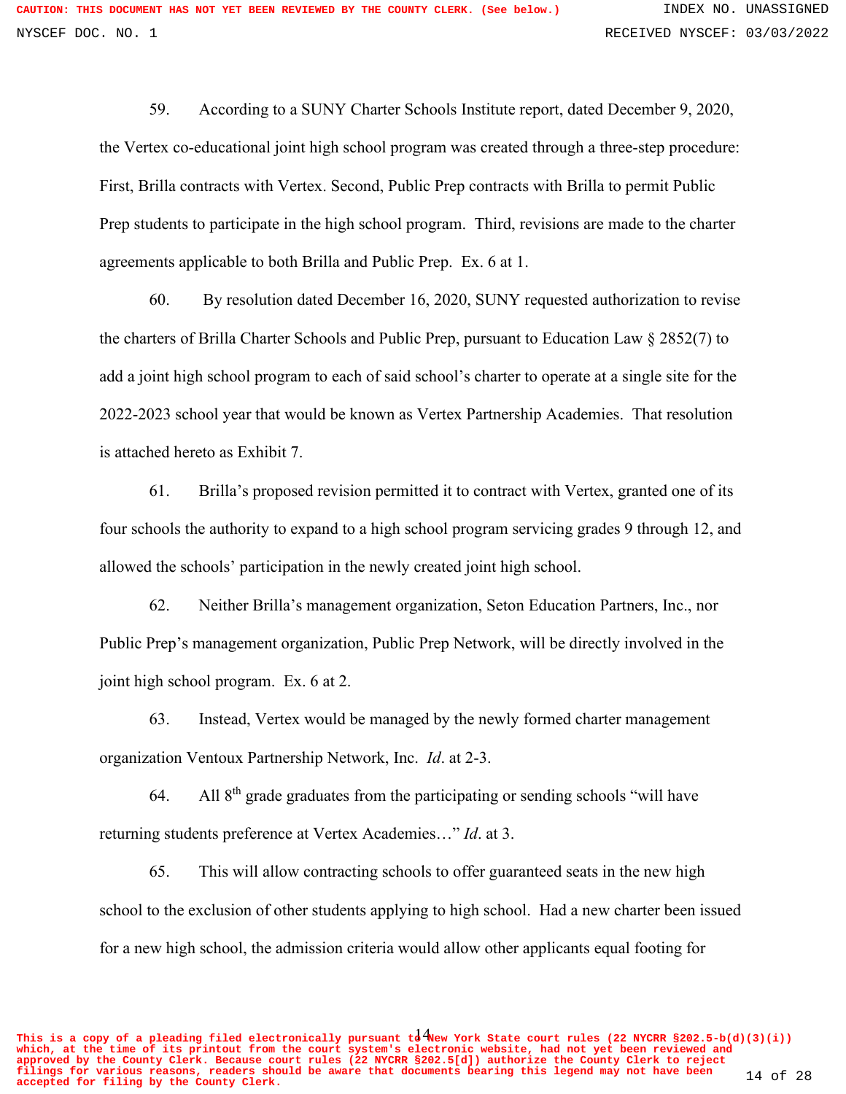59. According to a SUNY Charter Schools Institute report, dated December 9, 2020, the Vertex co-educational joint high school program was created through a three-step procedure: First, Brilla contracts with Vertex. Second, Public Prep contracts with Brilla to permit Public Prep students to participate in the high school program. Third, revisions are made to the charter agreements applicable to both Brilla and Public Prep. Ex. 6 at 1.

60. By resolution dated December 16, 2020, SUNY requested authorization to revise the charters of Brilla Charter Schools and Public Prep, pursuant to Education Law § 2852(7) to add a joint high school program to each of said school's charter to operate at a single site for the 2022-2023 school year that would be known as Vertex Partnership Academies. That resolution is attached hereto as Exhibit 7.

61. Brilla's proposed revision permitted it to contract with Vertex, granted one of its four schools the authority to expand to a high school program servicing grades 9 through 12, and allowed the schools' participation in the newly created joint high school.

62. Neither Brilla's management organization, Seton Education Partners, Inc., nor Public Prep's management organization, Public Prep Network, will be directly involved in the joint high school program. Ex. 6 at 2.

63. Instead, Vertex would be managed by the newly formed charter management organization Ventoux Partnership Network, Inc. *Id*. at 2-3.

64. All  $8<sup>th</sup>$  grade graduates from the participating or sending schools "will have returning students preference at Vertex Academies…" *Id*. at 3.

65. This will allow contracting schools to offer guaranteed seats in the new high school to the exclusion of other students applying to high school. Had a new charter been issued for a new high school, the admission criteria would allow other applicants equal footing for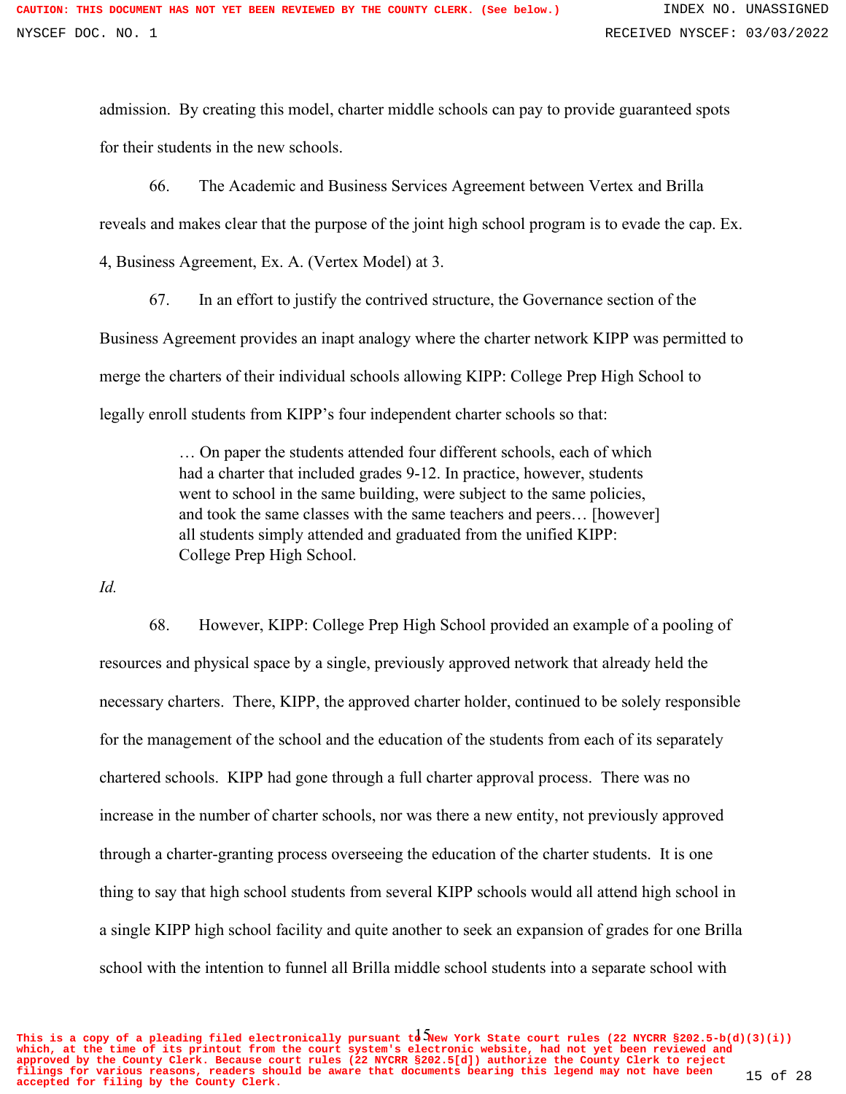admission. By creating this model, charter middle schools can pay to provide guaranteed spots for their students in the new schools.

66. The Academic and Business Services Agreement between Vertex and Brilla reveals and makes clear that the purpose of the joint high school program is to evade the cap. Ex. 4, Business Agreement, Ex. A. (Vertex Model) at 3.

67. In an effort to justify the contrived structure, the Governance section of the Business Agreement provides an inapt analogy where the charter network KIPP was permitted to merge the charters of their individual schools allowing KIPP: College Prep High School to legally enroll students from KIPP's four independent charter schools so that:

> … On paper the students attended four different schools, each of which had a charter that included grades 9-12. In practice, however, students went to school in the same building, were subject to the same policies, and took the same classes with the same teachers and peers… [however] all students simply attended and graduated from the unified KIPP: College Prep High School.

*Id.*

68. However, KIPP: College Prep High School provided an example of a pooling of resources and physical space by a single, previously approved network that already held the necessary charters. There, KIPP, the approved charter holder, continued to be solely responsible for the management of the school and the education of the students from each of its separately chartered schools. KIPP had gone through a full charter approval process. There was no increase in the number of charter schools, nor was there a new entity, not previously approved through a charter-granting process overseeing the education of the charter students. It is one thing to say that high school students from several KIPP schools would all attend high school in a single KIPP high school facility and quite another to seek an expansion of grades for one Brilla school with the intention to funnel all Brilla middle school students into a separate school with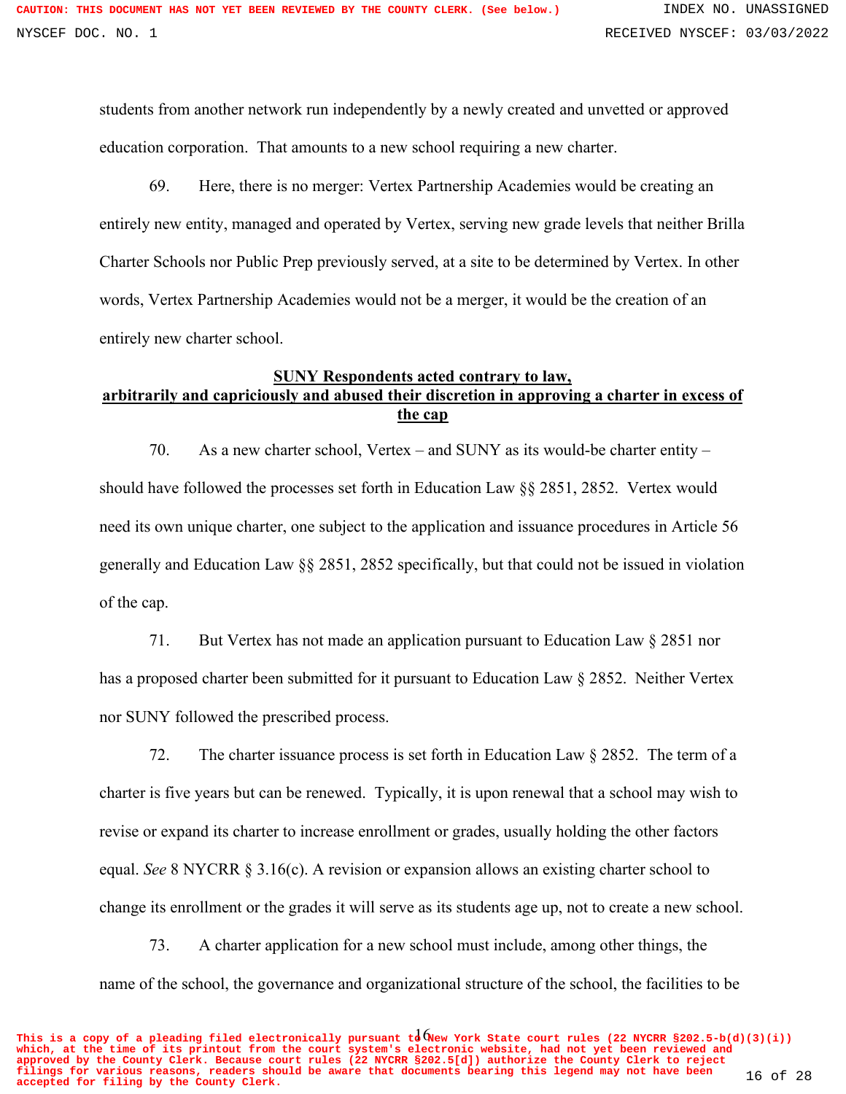students from another network run independently by a newly created and unvetted or approved education corporation. That amounts to a new school requiring a new charter.

69. Here, there is no merger: Vertex Partnership Academies would be creating an entirely new entity, managed and operated by Vertex, serving new grade levels that neither Brilla Charter Schools nor Public Prep previously served, at a site to be determined by Vertex. In other words, Vertex Partnership Academies would not be a merger, it would be the creation of an entirely new charter school.

# **SUNY Respondents acted contrary to law, arbitrarily and capriciously and abused their discretion in approving a charter in excess of the cap**

70. As a new charter school, Vertex – and SUNY as its would-be charter entity – should have followed the processes set forth in Education Law §§ 2851, 2852. Vertex would need its own unique charter, one subject to the application and issuance procedures in Article 56 generally and Education Law §§ 2851, 2852 specifically, but that could not be issued in violation of the cap.

71. But Vertex has not made an application pursuant to Education Law § 2851 nor has a proposed charter been submitted for it pursuant to Education Law § 2852. Neither Vertex nor SUNY followed the prescribed process.

72. The charter issuance process is set forth in Education Law § 2852. The term of a charter is five years but can be renewed. Typically, it is upon renewal that a school may wish to revise or expand its charter to increase enrollment or grades, usually holding the other factors equal. *See* 8 NYCRR § 3.16(c). A revision or expansion allows an existing charter school to change its enrollment or the grades it will serve as its students age up, not to create a new school.

73. A charter application for a new school must include, among other things, the name of the school, the governance and organizational structure of the school, the facilities to be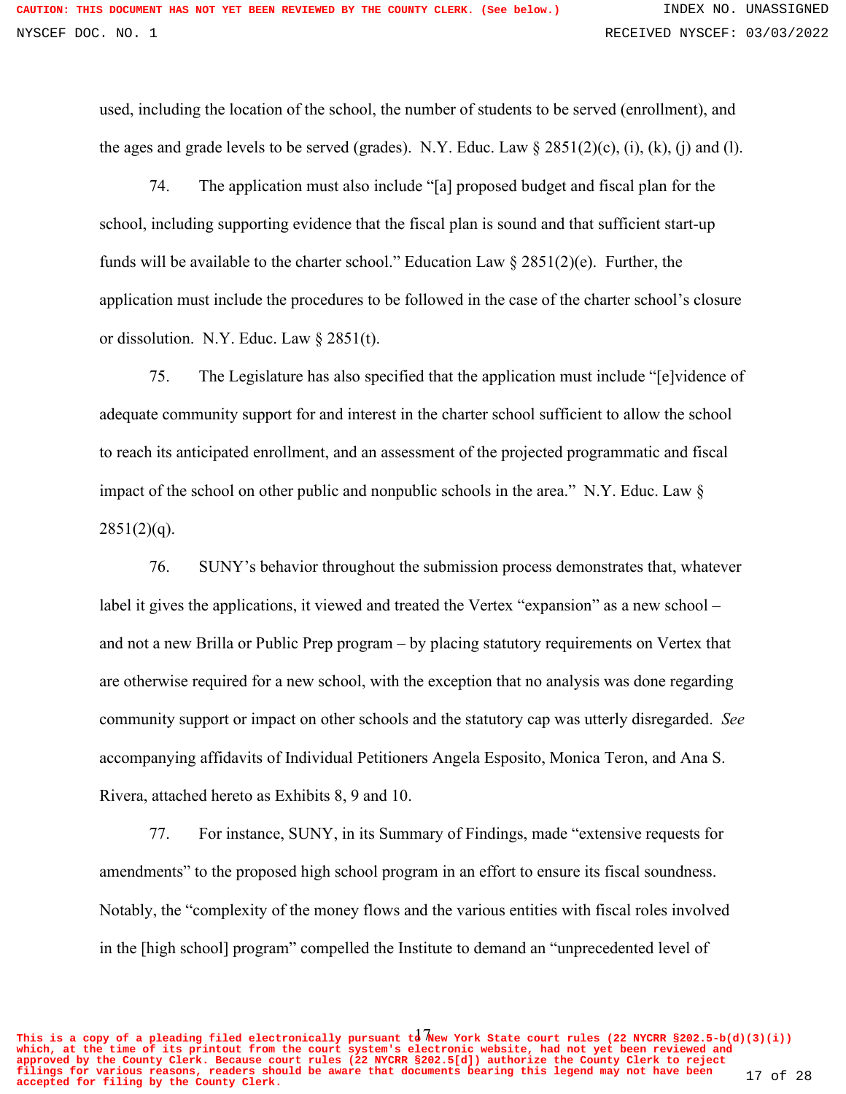used, including the location of the school, the number of students to be served (enrollment), and the ages and grade levels to be served (grades). N.Y. Educ. Law  $\S 2851(2)(c)$ , (i), (k), (j) and (l).

74. The application must also include "[a] proposed budget and fiscal plan for the school, including supporting evidence that the fiscal plan is sound and that sufficient start-up funds will be available to the charter school." Education Law  $\S 2851(2)$ (e). Further, the application must include the procedures to be followed in the case of the charter school's closure or dissolution. N.Y. Educ. Law § 2851(t).

75. The Legislature has also specified that the application must include "[e]vidence of adequate community support for and interest in the charter school sufficient to allow the school to reach its anticipated enrollment, and an assessment of the projected programmatic and fiscal impact of the school on other public and nonpublic schools in the area." N.Y. Educ. Law §  $2851(2)(q)$ .

76. SUNY's behavior throughout the submission process demonstrates that, whatever label it gives the applications, it viewed and treated the Vertex "expansion" as a new school – and not a new Brilla or Public Prep program – by placing statutory requirements on Vertex that are otherwise required for a new school, with the exception that no analysis was done regarding community support or impact on other schools and the statutory cap was utterly disregarded. *See* accompanying affidavits of Individual Petitioners Angela Esposito, Monica Teron, and Ana S. Rivera, attached hereto as Exhibits 8, 9 and 10.

77. For instance, SUNY, in its Summary of Findings, made "extensive requests for amendments" to the proposed high school program in an effort to ensure its fiscal soundness. Notably, the "complexity of the money flows and the various entities with fiscal roles involved in the [high school] program" compelled the Institute to demand an "unprecedented level of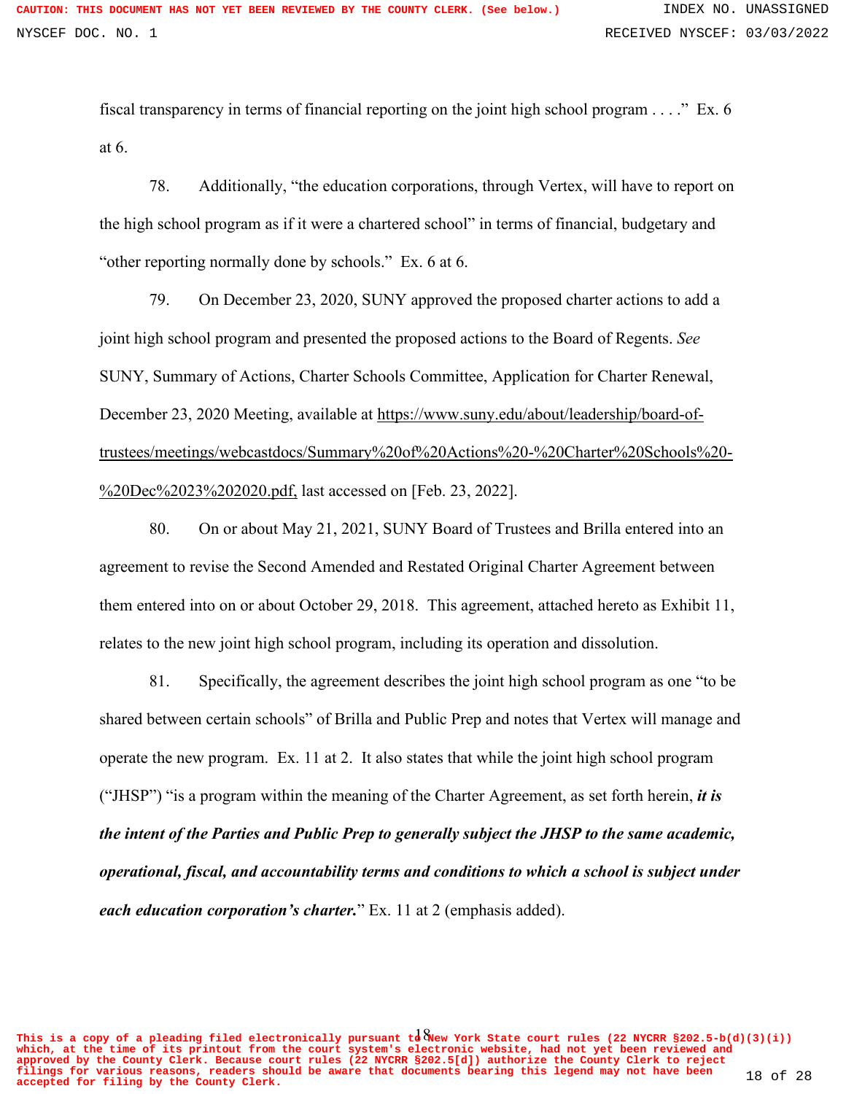fiscal transparency in terms of financial reporting on the joint high school program . . . ." Ex. 6 at 6.

78. Additionally, "the education corporations, through Vertex, will have to report on the high school program as if it were a chartered school" in terms of financial, budgetary and "other reporting normally done by schools." Ex. 6 at 6.

79. On December 23, 2020, SUNY approved the proposed charter actions to add a joint high school program and presented the proposed actions to the Board of Regents. *See* SUNY, Summary of Actions, Charter Schools Committee, Application for Charter Renewal, December 23, 2020 Meeting, available at https://www.suny.edu/about/leadership/board-oftrustees/meetings/webcastdocs/Summary%20of%20Actions%20-%20Charter%20Schools%20- %20Dec%2023%202020.pdf, last accessed on [Feb. 23, 2022].

80. On or about May 21, 2021, SUNY Board of Trustees and Brilla entered into an agreement to revise the Second Amended and Restated Original Charter Agreement between them entered into on or about October 29, 2018. This agreement, attached hereto as Exhibit 11, relates to the new joint high school program, including its operation and dissolution.

81. Specifically, the agreement describes the joint high school program as one "to be shared between certain schools" of Brilla and Public Prep and notes that Vertex will manage and operate the new program. Ex. 11 at 2. It also states that while the joint high school program ("JHSP") "is a program within the meaning of the Charter Agreement, as set forth herein, *it is the intent of the Parties and Public Prep to generally subject the JHSP to the same academic, operational, fiscal, and accountability terms and conditions to which a school is subject under each education corporation's charter.*" Ex. 11 at 2 (emphasis added).

This is a copy of a pleading filed electronically pursuant  $t\delta$  New York State court rules (22 NYCRR §202.5-b(d)(3)(i)) **which, at the time of its printout from the court system's electronic website, had not yet been reviewed and approved by the County Clerk. Because court rules (22 NYCRR §202.5[d]) authorize the County Clerk to reject filings for various reasons, readers should be aware that documents bearing this legend may not have been accepted for filing by the County Clerk.** 18 of 28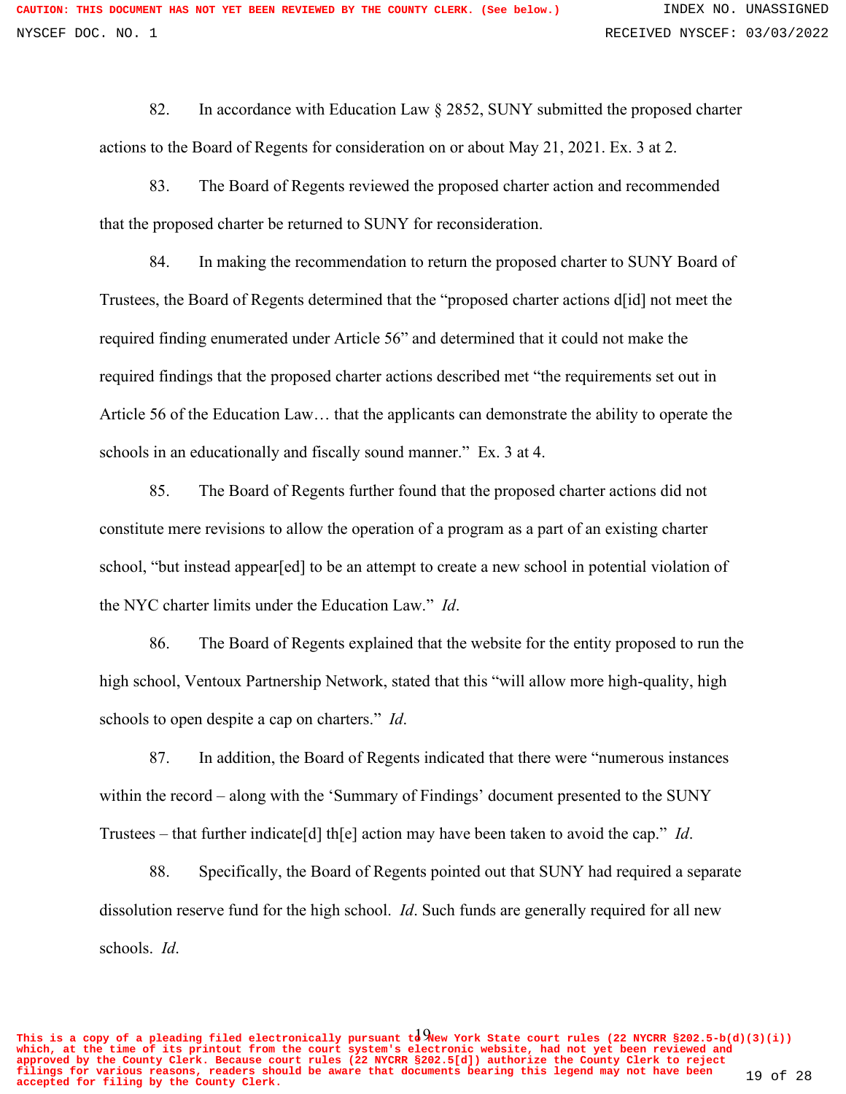82. In accordance with Education Law § 2852, SUNY submitted the proposed charter actions to the Board of Regents for consideration on or about May 21, 2021. Ex. 3 at 2.

83. The Board of Regents reviewed the proposed charter action and recommended that the proposed charter be returned to SUNY for reconsideration.

84. In making the recommendation to return the proposed charter to SUNY Board of Trustees, the Board of Regents determined that the "proposed charter actions d[id] not meet the required finding enumerated under Article 56" and determined that it could not make the required findings that the proposed charter actions described met "the requirements set out in Article 56 of the Education Law… that the applicants can demonstrate the ability to operate the schools in an educationally and fiscally sound manner." Ex. 3 at 4.

85. The Board of Regents further found that the proposed charter actions did not constitute mere revisions to allow the operation of a program as a part of an existing charter school, "but instead appear[ed] to be an attempt to create a new school in potential violation of the NYC charter limits under the Education Law." *Id*.

86. The Board of Regents explained that the website for the entity proposed to run the high school, Ventoux Partnership Network, stated that this "will allow more high-quality, high schools to open despite a cap on charters." *Id*.

87. In addition, the Board of Regents indicated that there were "numerous instances within the record – along with the 'Summary of Findings' document presented to the SUNY Trustees – that further indicate[d] th[e] action may have been taken to avoid the cap." *Id*.

88. Specifically, the Board of Regents pointed out that SUNY had required a separate dissolution reserve fund for the high school. *Id*. Such funds are generally required for all new schools. *Id*.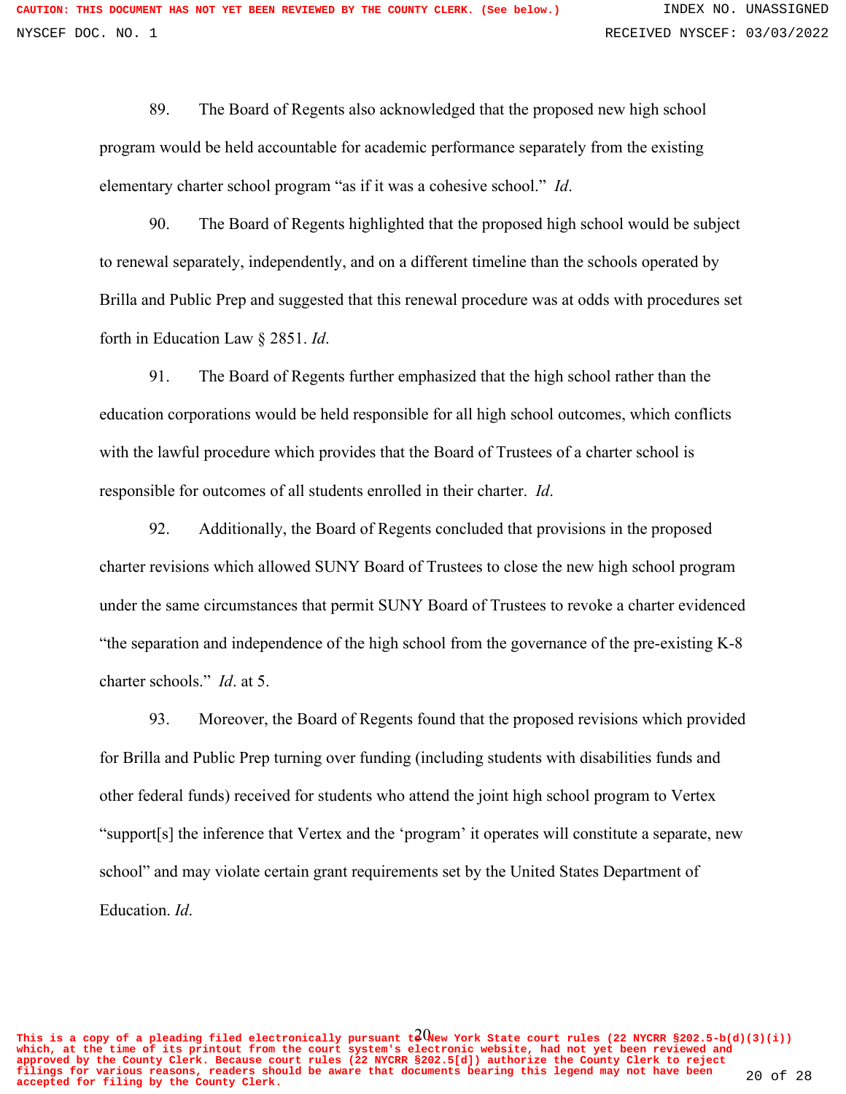89. The Board of Regents also acknowledged that the proposed new high school program would be held accountable for academic performance separately from the existing elementary charter school program "as if it was a cohesive school." *Id*.

90. The Board of Regents highlighted that the proposed high school would be subject to renewal separately, independently, and on a different timeline than the schools operated by Brilla and Public Prep and suggested that this renewal procedure was at odds with procedures set forth in Education Law § 2851. *Id*.

91. The Board of Regents further emphasized that the high school rather than the education corporations would be held responsible for all high school outcomes, which conflicts with the lawful procedure which provides that the Board of Trustees of a charter school is responsible for outcomes of all students enrolled in their charter. *Id*.

92. Additionally, the Board of Regents concluded that provisions in the proposed charter revisions which allowed SUNY Board of Trustees to close the new high school program under the same circumstances that permit SUNY Board of Trustees to revoke a charter evidenced "the separation and independence of the high school from the governance of the pre-existing K-8 charter schools." *Id*. at 5.

93. Moreover, the Board of Regents found that the proposed revisions which provided for Brilla and Public Prep turning over funding (including students with disabilities funds and other federal funds) received for students who attend the joint high school program to Vertex "support[s] the inference that Vertex and the 'program' it operates will constitute a separate, new school" and may violate certain grant requirements set by the United States Department of Education. *Id*.

This is a copy of a pleading filed electronically pursuant  $t^2$  Wew York State court rules (22 NYCRR §202.5-b(d)(3)(i)) **which, at the time of its printout from the court system's electronic website, had not yet been reviewed and approved by the County Clerk. Because court rules (22 NYCRR §202.5[d]) authorize the County Clerk to reject filings for various reasons, readers should be aware that documents bearing this legend may not have been accepted for filing by the County Clerk.** 20 of 28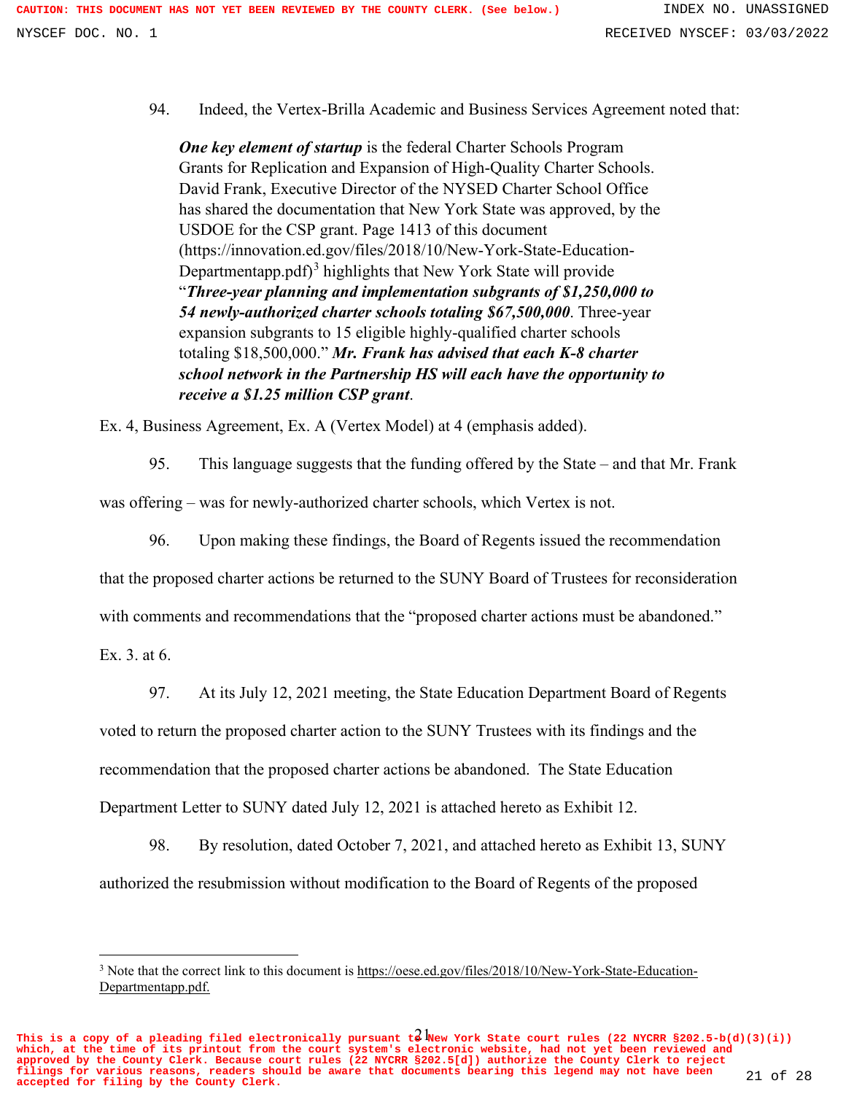94. Indeed, the Vertex-Brilla Academic and Business Services Agreement noted that:

*One key element of startup* is the federal Charter Schools Program Grants for Replication and Expansion of High-Quality Charter Schools. David Frank, Executive Director of the NYSED Charter School Office has shared the documentation that New York State was approved, by the USDOE for the CSP grant. Page 1413 of this document (https://innovation.ed.gov/files/2018/10/New-York-State-Education-Departmentapp.pdf)<sup>3</sup> highlights that New York State will provide "*Three-year planning and implementation subgrants of \$1,250,000 to 54 newly-authorized charter schools totaling \$67,500,000*. Three-year expansion subgrants to 15 eligible highly-qualified charter schools totaling \$18,500,000." *Mr. Frank has advised that each K-8 charter school network in the Partnership HS will each have the opportunity to receive a \$1.25 million CSP grant*.

Ex. 4, Business Agreement, Ex. A (Vertex Model) at 4 (emphasis added).

95. This language suggests that the funding offered by the State – and that Mr. Frank

was offering – was for newly-authorized charter schools, which Vertex is not.

96. Upon making these findings, the Board of Regents issued the recommendation

that the proposed charter actions be returned to the SUNY Board of Trustees for reconsideration

with comments and recommendations that the "proposed charter actions must be abandoned."

Ex. 3. at 6.

97. At its July 12, 2021 meeting, the State Education Department Board of Regents

voted to return the proposed charter action to the SUNY Trustees with its findings and the

recommendation that the proposed charter actions be abandoned. The State Education

Department Letter to SUNY dated July 12, 2021 is attached hereto as Exhibit 12.

98. By resolution, dated October 7, 2021, and attached hereto as Exhibit 13, SUNY authorized the resubmission without modification to the Board of Regents of the proposed

<sup>3</sup> Note that the correct link to this document is https://oese.ed.gov/files/2018/10/New-York-State-Education-Departmentapp.pdf.

This is a copy of a pleading filed electronically pursuant  $t^2$  Wew York State court rules (22 NYCRR §202.5-b(d)(3)(i)) **which, at the time of its printout from the court system's electronic website, had not yet been reviewed and approved by the County Clerk. Because court rules (22 NYCRR §202.5[d]) authorize the County Clerk to reject filings for various reasons, readers should be aware that documents bearing this legend may not have been accepted for filing by the County Clerk.** 21 of 28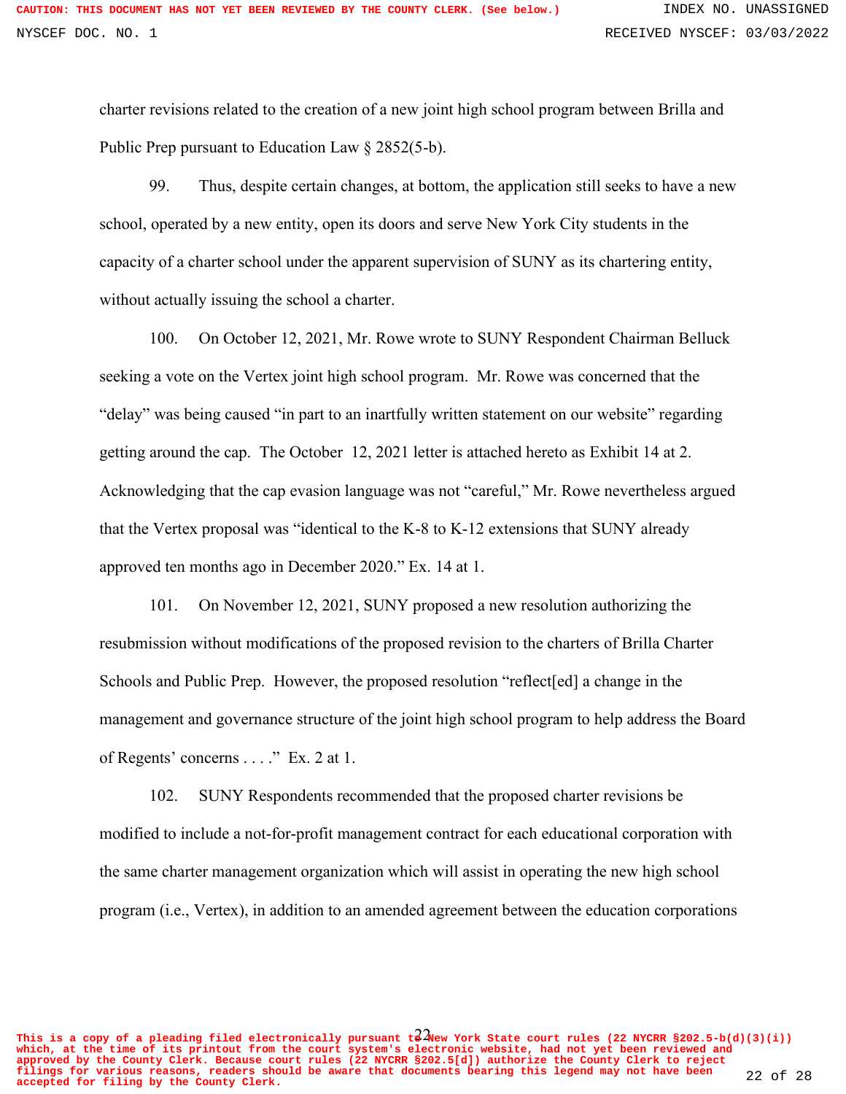charter revisions related to the creation of a new joint high school program between Brilla and Public Prep pursuant to Education Law § 2852(5-b).

99. Thus, despite certain changes, at bottom, the application still seeks to have a new school, operated by a new entity, open its doors and serve New York City students in the capacity of a charter school under the apparent supervision of SUNY as its chartering entity, without actually issuing the school a charter.

100. On October 12, 2021, Mr. Rowe wrote to SUNY Respondent Chairman Belluck seeking a vote on the Vertex joint high school program. Mr. Rowe was concerned that the "delay" was being caused "in part to an inartfully written statement on our website" regarding getting around the cap. The October 12, 2021 letter is attached hereto as Exhibit 14 at 2. Acknowledging that the cap evasion language was not "careful," Mr. Rowe nevertheless argued that the Vertex proposal was "identical to the K-8 to K-12 extensions that SUNY already approved ten months ago in December 2020." Ex. 14 at 1.

101. On November 12, 2021, SUNY proposed a new resolution authorizing the resubmission without modifications of the proposed revision to the charters of Brilla Charter Schools and Public Prep. However, the proposed resolution "reflect[ed] a change in the management and governance structure of the joint high school program to help address the Board of Regents' concerns . . . ." Ex. 2 at 1.

102. SUNY Respondents recommended that the proposed charter revisions be modified to include a not-for-profit management contract for each educational corporation with the same charter management organization which will assist in operating the new high school program (i.e., Vertex), in addition to an amended agreement between the education corporations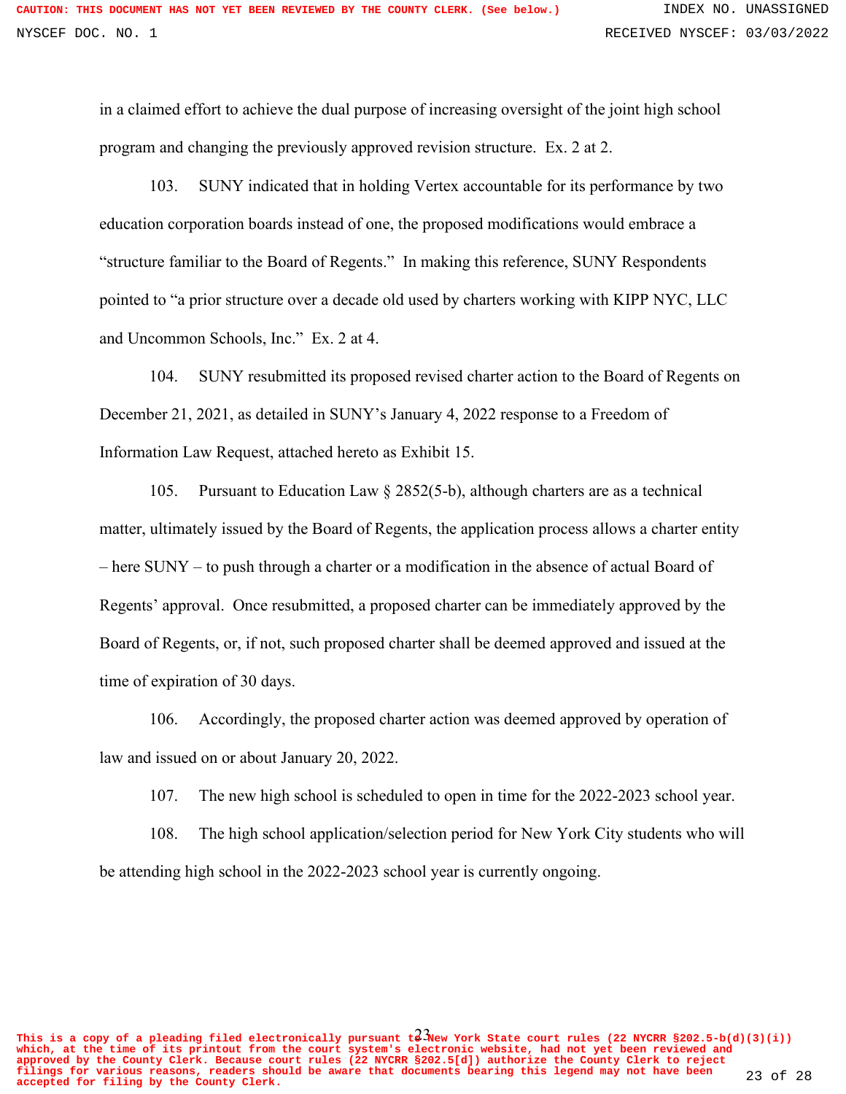in a claimed effort to achieve the dual purpose of increasing oversight of the joint high school program and changing the previously approved revision structure. Ex. 2 at 2.

103. SUNY indicated that in holding Vertex accountable for its performance by two education corporation boards instead of one, the proposed modifications would embrace a "structure familiar to the Board of Regents." In making this reference, SUNY Respondents pointed to "a prior structure over a decade old used by charters working with KIPP NYC, LLC and Uncommon Schools, Inc." Ex. 2 at 4.

104. SUNY resubmitted its proposed revised charter action to the Board of Regents on December 21, 2021, as detailed in SUNY's January 4, 2022 response to a Freedom of Information Law Request, attached hereto as Exhibit 15.

105. Pursuant to Education Law § 2852(5-b), although charters are as a technical matter, ultimately issued by the Board of Regents, the application process allows a charter entity – here SUNY – to push through a charter or a modification in the absence of actual Board of Regents' approval. Once resubmitted, a proposed charter can be immediately approved by the Board of Regents, or, if not, such proposed charter shall be deemed approved and issued at the time of expiration of 30 days.

106. Accordingly, the proposed charter action was deemed approved by operation of law and issued on or about January 20, 2022.

107. The new high school is scheduled to open in time for the 2022-2023 school year.

108. The high school application/selection period for New York City students who will be attending high school in the 2022-2023 school year is currently ongoing.

This is a copy of a pleading filed electronically pursuant  $t^2$  New York State court rules (22 NYCRR §202.5-b(d)(3)(i)) **which, at the time of its printout from the court system's electronic website, had not yet been reviewed and approved by the County Clerk. Because court rules (22 NYCRR §202.5[d]) authorize the County Clerk to reject filings for various reasons, readers should be aware that documents bearing this legend may not have been accepted for filing by the County Clerk.** 23 of 28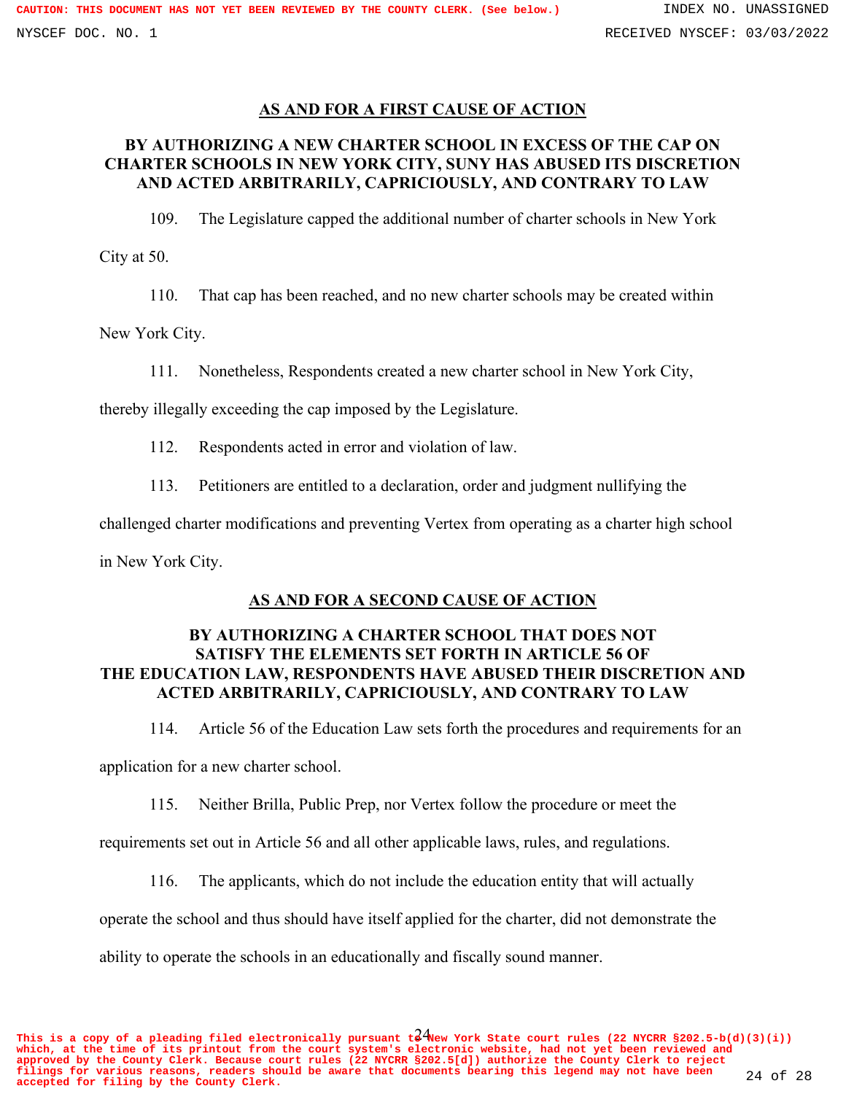## **AS AND FOR A FIRST CAUSE OF ACTION**

# **BY AUTHORIZING A NEW CHARTER SCHOOL IN EXCESS OF THE CAP ON CHARTER SCHOOLS IN NEW YORK CITY, SUNY HAS ABUSED ITS DISCRETION AND ACTED ARBITRARILY, CAPRICIOUSLY, AND CONTRARY TO LAW**

109. The Legislature capped the additional number of charter schools in New York

City at 50.

110. That cap has been reached, and no new charter schools may be created within

New York City.

111. Nonetheless, Respondents created a new charter school in New York City,

thereby illegally exceeding the cap imposed by the Legislature.

112. Respondents acted in error and violation of law.

113. Petitioners are entitled to a declaration, order and judgment nullifying the

challenged charter modifications and preventing Vertex from operating as a charter high school

in New York City.

## **AS AND FOR A SECOND CAUSE OF ACTION**

## **BY AUTHORIZING A CHARTER SCHOOL THAT DOES NOT SATISFY THE ELEMENTS SET FORTH IN ARTICLE 56 OF THE EDUCATION LAW, RESPONDENTS HAVE ABUSED THEIR DISCRETION AND ACTED ARBITRARILY, CAPRICIOUSLY, AND CONTRARY TO LAW**

114. Article 56 of the Education Law sets forth the procedures and requirements for an application for a new charter school.

115. Neither Brilla, Public Prep, nor Vertex follow the procedure or meet the

requirements set out in Article 56 and all other applicable laws, rules, and regulations.

116. The applicants, which do not include the education entity that will actually

operate the school and thus should have itself applied for the charter, did not demonstrate the

ability to operate the schools in an educationally and fiscally sound manner.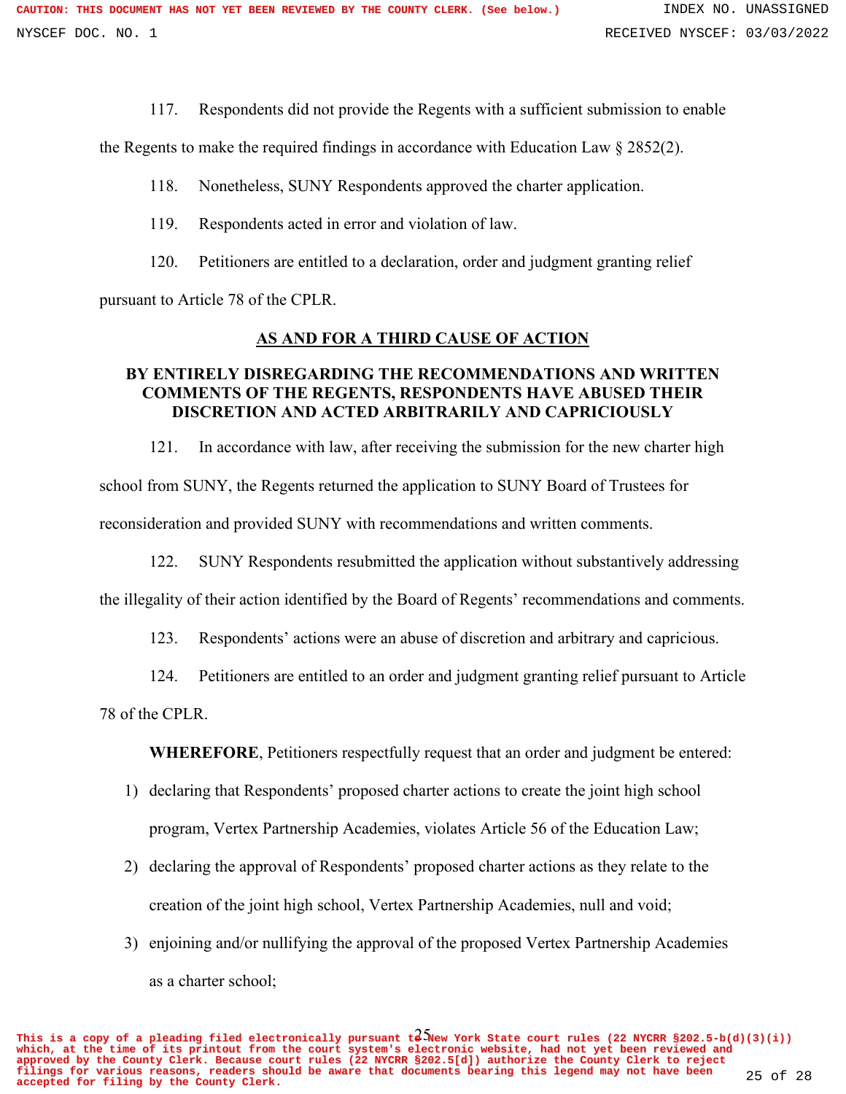117. Respondents did not provide the Regents with a sufficient submission to enable

the Regents to make the required findings in accordance with Education Law § 2852(2).

- 118. Nonetheless, SUNY Respondents approved the charter application.
- 119. Respondents acted in error and violation of law.
- 120. Petitioners are entitled to a declaration, order and judgment granting relief

pursuant to Article 78 of the CPLR.

### **AS AND FOR A THIRD CAUSE OF ACTION**

## **BY ENTIRELY DISREGARDING THE RECOMMENDATIONS AND WRITTEN COMMENTS OF THE REGENTS, RESPONDENTS HAVE ABUSED THEIR DISCRETION AND ACTED ARBITRARILY AND CAPRICIOUSLY**

121. In accordance with law, after receiving the submission for the new charter high school from SUNY, the Regents returned the application to SUNY Board of Trustees for reconsideration and provided SUNY with recommendations and written comments.

122. SUNY Respondents resubmitted the application without substantively addressing the illegality of their action identified by the Board of Regents' recommendations and comments.

- 123. Respondents' actions were an abuse of discretion and arbitrary and capricious.
- 124. Petitioners are entitled to an order and judgment granting relief pursuant to Article

78 of the CPLR.

**WHEREFORE**, Petitioners respectfully request that an order and judgment be entered:

- 1) declaring that Respondents' proposed charter actions to create the joint high school program, Vertex Partnership Academies, violates Article 56 of the Education Law;
- 2) declaring the approval of Respondents' proposed charter actions as they relate to the creation of the joint high school, Vertex Partnership Academies, null and void;
- 3) enjoining and/or nullifying the approval of the proposed Vertex Partnership Academies as a charter school;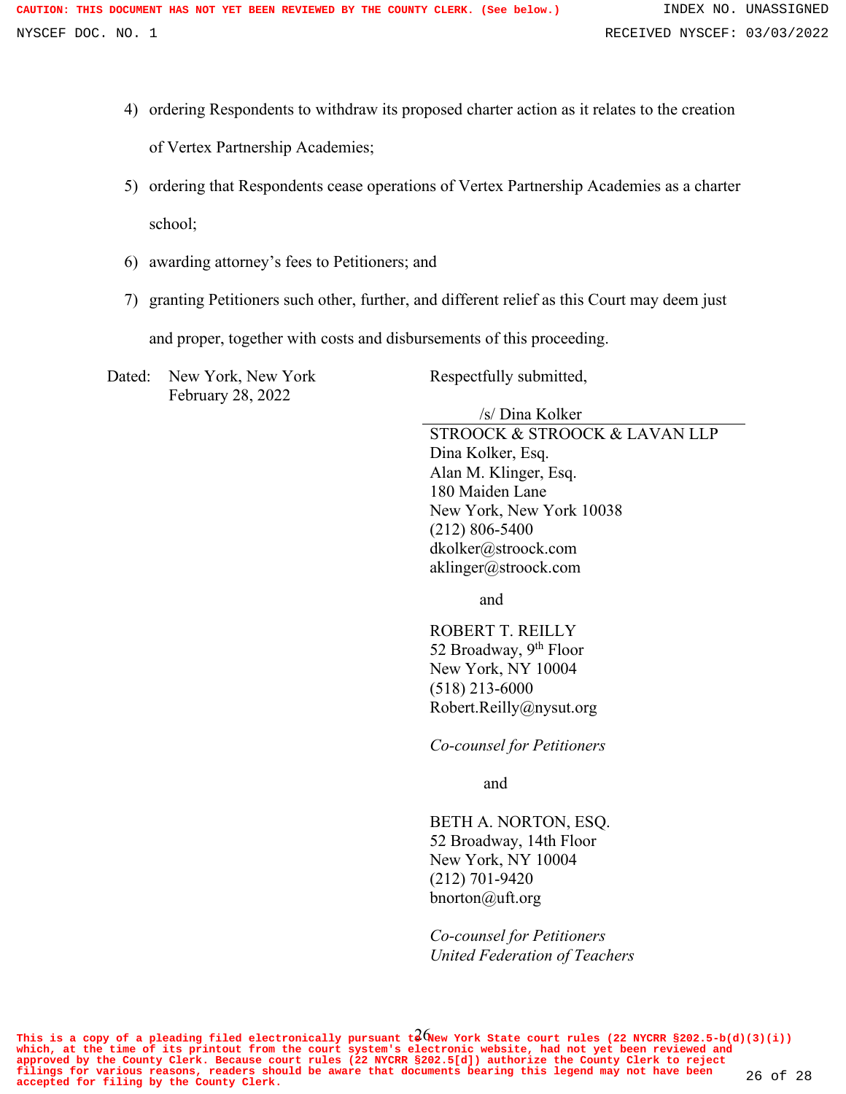- 4) ordering Respondents to withdraw its proposed charter action as it relates to the creation of Vertex Partnership Academies;
- 5) ordering that Respondents cease operations of Vertex Partnership Academies as a charter school;
- 6) awarding attorney's fees to Petitioners; and
- 7) granting Petitioners such other, further, and different relief as this Court may deem just

and proper, together with costs and disbursements of this proceeding.

Dated: New York, New York February 28, 2022

Respectfully submitted,

/s/ Dina Kolker

STROOCK & STROOCK & LAVAN LLP Dina Kolker, Esq. Alan M. Klinger, Esq. 180 Maiden Lane New York, New York 10038 (212) 806-5400 dkolker@stroock.com aklinger@stroock.com

and

ROBERT T. REILLY 52 Broadway, 9<sup>th</sup> Floor New York, NY 10004 (518) 213-6000 Robert.Reilly@nysut.org

*Co-counsel for Petitioners*

and

BETH A. NORTON, ESQ. 52 Broadway, 14th Floor New York, NY 10004 (212) 701-9420 bnorton@uft.org

*Co-counsel for Petitioners United Federation of Teachers*

This is a copy of a pleading filed electronically pursuant  $t^2$  (New York State court rules (22 NYCRR §202.5-b(d)(3)(i)) **which, at the time of its printout from the court system's electronic website, had not yet been reviewed and** approved by the County Clerk. Because court rules (22 NYCRR \$202.5[d]) authorize the County Clerk to reject<br>filings for various reasons, readers should be aware that documents bearing this legend may not have been 26 of 28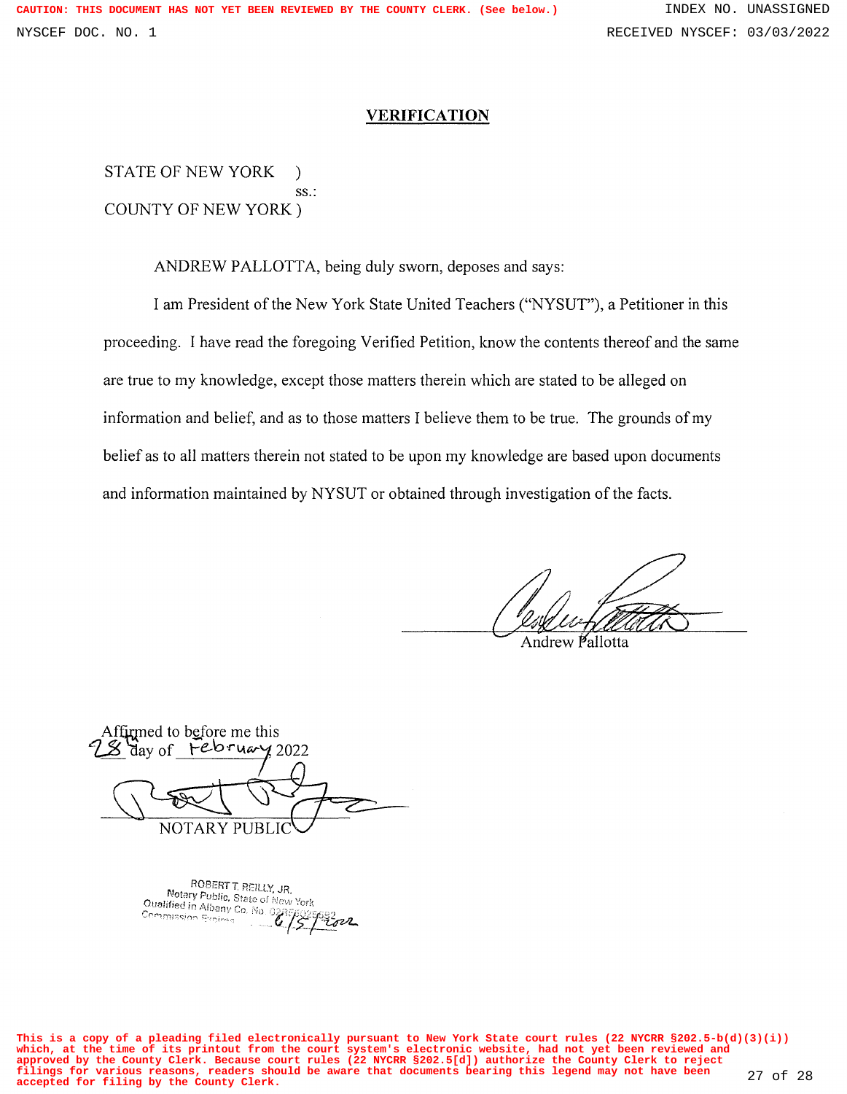#### **VERIFICATION**

STATE OF NEW YORK ) ss.: COUNTY OF NEW YORK)

ANDREW PALLOTTA, being duly sworn, deposes and says:

I am President of the New York State United Teachers ("NYSUT"), a Petitioner in this proceeding. I have read the foregoing Verified Petition, know the contents thereof and the same are true to my knowledge, except those matters therein which are stated to be alleged on information and belief, and as to those matters I believe them to be true. The grounds of my belief as to all matters therein not stated to be upon my knowledge are based upon documents and information maintained by NYSUT or obtained through investigation of the facts.

Andrew Pallotta

Affirmed to before me this *1-.2* 'ciay of *Fe-'o-rv.a,-f* <sup>2022</sup> **NOTARY PUBLI** 

ROBERT T. REILLY, JR. NOBERT T. REILLY, JR.<br>Notary Public, State of New York **Notary Public, State of N**<br>Oualified in Albany Co. No. 0;<br>Commission Evaluation Commission Expirac n Pitov

**This is a copy of a pleading filed electronically pursuant to New York State court rules (22 NYCRR §202.5-b(d)(3)(i)) which, at the time of its printout from the court system's electronic website, had not yet been reviewed and approved by the County Clerk. Because court rules (22 NYCRR §202.5[d]) authorize the County Clerk to reject filings for various reasons, readers should be aware that documents bearing this legend may not have been accepted for filing by the County Clerk.** 27 of 28